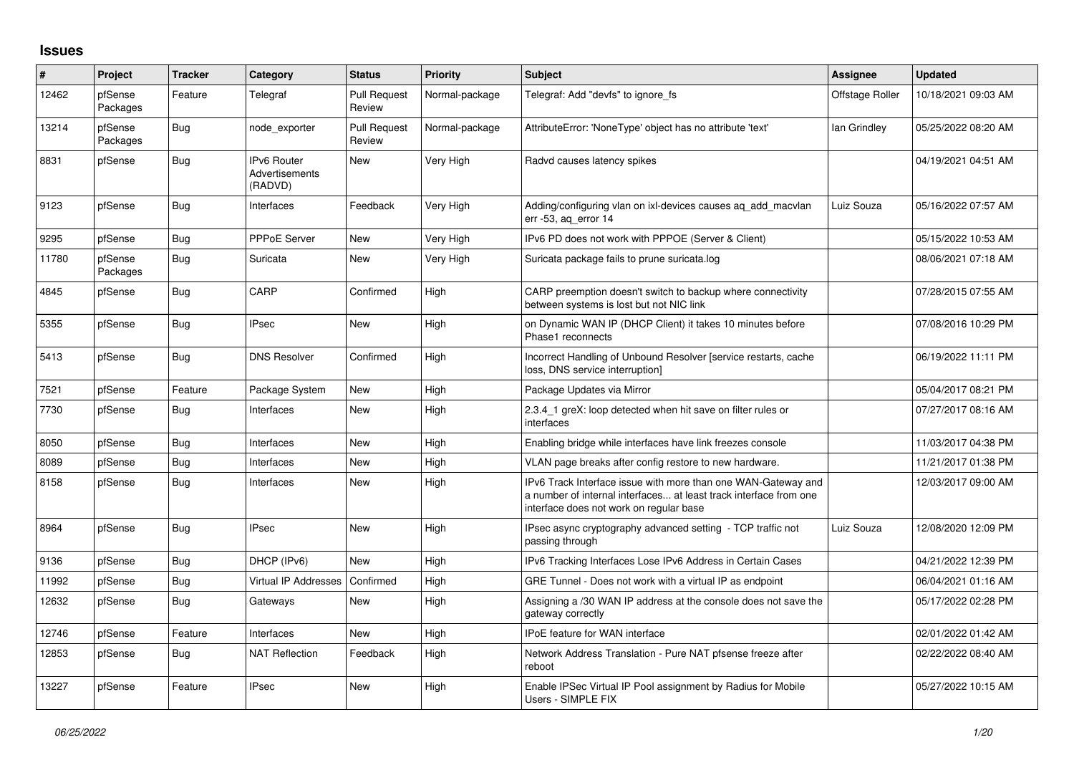## **Issues**

| $\vert$ # | Project             | <b>Tracker</b> | Category                                 | <b>Status</b>                 | <b>Priority</b> | <b>Subject</b>                                                                                                                                                                | Assignee        | <b>Updated</b>      |
|-----------|---------------------|----------------|------------------------------------------|-------------------------------|-----------------|-------------------------------------------------------------------------------------------------------------------------------------------------------------------------------|-----------------|---------------------|
| 12462     | pfSense<br>Packages | Feature        | Telegraf                                 | <b>Pull Request</b><br>Review | Normal-package  | Telegraf: Add "devfs" to ignore fs                                                                                                                                            | Offstage Roller | 10/18/2021 09:03 AM |
| 13214     | pfSense<br>Packages | <b>Bug</b>     | node_exporter                            | <b>Pull Request</b><br>Review | Normal-package  | AttributeError: 'NoneType' object has no attribute 'text'                                                                                                                     | lan Grindley    | 05/25/2022 08:20 AM |
| 8831      | pfSense             | Bug            | IPv6 Router<br>Advertisements<br>(RADVD) | <b>New</b>                    | Very High       | Radvd causes latency spikes                                                                                                                                                   |                 | 04/19/2021 04:51 AM |
| 9123      | pfSense             | Bug            | Interfaces                               | Feedback                      | Very High       | Adding/configuring vlan on ixl-devices causes aq_add_macvlan<br>err -53, aq_error 14                                                                                          | Luiz Souza      | 05/16/2022 07:57 AM |
| 9295      | pfSense             | Bug            | <b>PPPoE Server</b>                      | <b>New</b>                    | Very High       | IPv6 PD does not work with PPPOE (Server & Client)                                                                                                                            |                 | 05/15/2022 10:53 AM |
| 11780     | pfSense<br>Packages | Bug            | Suricata                                 | New                           | Very High       | Suricata package fails to prune suricata.log                                                                                                                                  |                 | 08/06/2021 07:18 AM |
| 4845      | pfSense             | <b>Bug</b>     | CARP                                     | Confirmed                     | High            | CARP preemption doesn't switch to backup where connectivity<br>between systems is lost but not NIC link                                                                       |                 | 07/28/2015 07:55 AM |
| 5355      | pfSense             | <b>Bug</b>     | <b>IPsec</b>                             | New                           | High            | on Dynamic WAN IP (DHCP Client) it takes 10 minutes before<br>Phase1 reconnects                                                                                               |                 | 07/08/2016 10:29 PM |
| 5413      | pfSense             | <b>Bug</b>     | <b>DNS Resolver</b>                      | Confirmed                     | High            | Incorrect Handling of Unbound Resolver [service restarts, cache<br>loss, DNS service interruption]                                                                            |                 | 06/19/2022 11:11 PM |
| 7521      | pfSense             | Feature        | Package System                           | <b>New</b>                    | High            | Package Updates via Mirror                                                                                                                                                    |                 | 05/04/2017 08:21 PM |
| 7730      | pfSense             | <b>Bug</b>     | Interfaces                               | <b>New</b>                    | High            | 2.3.4 1 greX: loop detected when hit save on filter rules or<br>interfaces                                                                                                    |                 | 07/27/2017 08:16 AM |
| 8050      | pfSense             | Bug            | Interfaces                               | <b>New</b>                    | High            | Enabling bridge while interfaces have link freezes console                                                                                                                    |                 | 11/03/2017 04:38 PM |
| 8089      | pfSense             | <b>Bug</b>     | Interfaces                               | <b>New</b>                    | High            | VLAN page breaks after config restore to new hardware.                                                                                                                        |                 | 11/21/2017 01:38 PM |
| 8158      | pfSense             | <b>Bug</b>     | Interfaces                               | <b>New</b>                    | High            | IPv6 Track Interface issue with more than one WAN-Gateway and<br>a number of internal interfaces at least track interface from one<br>interface does not work on regular base |                 | 12/03/2017 09:00 AM |
| 8964      | pfSense             | Bug            | <b>IPsec</b>                             | New                           | High            | IPsec async cryptography advanced setting - TCP traffic not<br>passing through                                                                                                | Luiz Souza      | 12/08/2020 12:09 PM |
| 9136      | pfSense             | Bug            | DHCP (IPv6)                              | <b>New</b>                    | High            | IPv6 Tracking Interfaces Lose IPv6 Address in Certain Cases                                                                                                                   |                 | 04/21/2022 12:39 PM |
| 11992     | pfSense             | <b>Bug</b>     | <b>Virtual IP Addresses</b>              | Confirmed                     | High            | GRE Tunnel - Does not work with a virtual IP as endpoint                                                                                                                      |                 | 06/04/2021 01:16 AM |
| 12632     | pfSense             | Bug            | Gateways                                 | New                           | High            | Assigning a /30 WAN IP address at the console does not save the<br>gateway correctly                                                                                          |                 | 05/17/2022 02:28 PM |
| 12746     | pfSense             | Feature        | Interfaces                               | <b>New</b>                    | High            | IPoE feature for WAN interface                                                                                                                                                |                 | 02/01/2022 01:42 AM |
| 12853     | pfSense             | <b>Bug</b>     | <b>NAT Reflection</b>                    | Feedback                      | High            | Network Address Translation - Pure NAT pfsense freeze after<br>reboot                                                                                                         |                 | 02/22/2022 08:40 AM |
| 13227     | pfSense             | Feature        | <b>IPsec</b>                             | <b>New</b>                    | High            | Enable IPSec Virtual IP Pool assignment by Radius for Mobile<br>Users - SIMPLE FIX                                                                                            |                 | 05/27/2022 10:15 AM |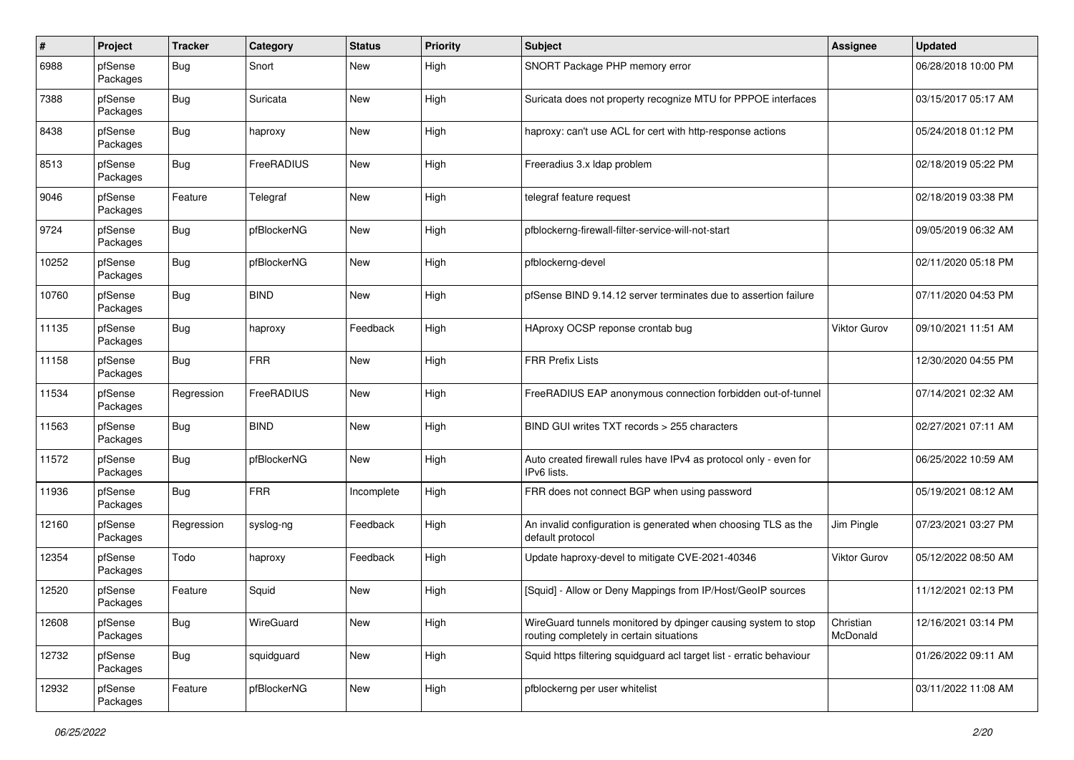| #     | Project             | <b>Tracker</b> | Category    | <b>Status</b> | <b>Priority</b> | Subject                                                                                                   | <b>Assignee</b>       | <b>Updated</b>      |
|-------|---------------------|----------------|-------------|---------------|-----------------|-----------------------------------------------------------------------------------------------------------|-----------------------|---------------------|
| 6988  | pfSense<br>Packages | Bug            | Snort       | New           | High            | SNORT Package PHP memory error                                                                            |                       | 06/28/2018 10:00 PM |
| 7388  | pfSense<br>Packages | <b>Bug</b>     | Suricata    | New           | High            | Suricata does not property recognize MTU for PPPOE interfaces                                             |                       | 03/15/2017 05:17 AM |
| 8438  | pfSense<br>Packages | <b>Bug</b>     | haproxy     | <b>New</b>    | High            | haproxy: can't use ACL for cert with http-response actions                                                |                       | 05/24/2018 01:12 PM |
| 8513  | pfSense<br>Packages | <b>Bug</b>     | FreeRADIUS  | New           | High            | Freeradius 3.x Idap problem                                                                               |                       | 02/18/2019 05:22 PM |
| 9046  | pfSense<br>Packages | Feature        | Telegraf    | <b>New</b>    | High            | telegraf feature request                                                                                  |                       | 02/18/2019 03:38 PM |
| 9724  | pfSense<br>Packages | <b>Bug</b>     | pfBlockerNG | <b>New</b>    | High            | pfblockerng-firewall-filter-service-will-not-start                                                        |                       | 09/05/2019 06:32 AM |
| 10252 | pfSense<br>Packages | <b>Bug</b>     | pfBlockerNG | <b>New</b>    | High            | pfblockerng-devel                                                                                         |                       | 02/11/2020 05:18 PM |
| 10760 | pfSense<br>Packages | <b>Bug</b>     | <b>BIND</b> | <b>New</b>    | High            | pfSense BIND 9.14.12 server terminates due to assertion failure                                           |                       | 07/11/2020 04:53 PM |
| 11135 | pfSense<br>Packages | <b>Bug</b>     | haproxy     | Feedback      | High            | HAproxy OCSP reponse crontab bug                                                                          | <b>Viktor Gurov</b>   | 09/10/2021 11:51 AM |
| 11158 | pfSense<br>Packages | <b>Bug</b>     | <b>FRR</b>  | <b>New</b>    | High            | <b>FRR Prefix Lists</b>                                                                                   |                       | 12/30/2020 04:55 PM |
| 11534 | pfSense<br>Packages | Regression     | FreeRADIUS  | New           | High            | FreeRADIUS EAP anonymous connection forbidden out-of-tunnel                                               |                       | 07/14/2021 02:32 AM |
| 11563 | pfSense<br>Packages | Bug            | <b>BIND</b> | <b>New</b>    | High            | BIND GUI writes TXT records > 255 characters                                                              |                       | 02/27/2021 07:11 AM |
| 11572 | pfSense<br>Packages | <b>Bug</b>     | pfBlockerNG | <b>New</b>    | High            | Auto created firewall rules have IPv4 as protocol only - even for<br>IPv6 lists.                          |                       | 06/25/2022 10:59 AM |
| 11936 | pfSense<br>Packages | <b>Bug</b>     | <b>FRR</b>  | Incomplete    | High            | FRR does not connect BGP when using password                                                              |                       | 05/19/2021 08:12 AM |
| 12160 | pfSense<br>Packages | Regression     | syslog-ng   | Feedback      | High            | An invalid configuration is generated when choosing TLS as the<br>default protocol                        | Jim Pingle            | 07/23/2021 03:27 PM |
| 12354 | pfSense<br>Packages | Todo           | haproxy     | Feedback      | High            | Update haproxy-devel to mitigate CVE-2021-40346                                                           | Viktor Gurov          | 05/12/2022 08:50 AM |
| 12520 | pfSense<br>Packages | Feature        | Squid       | <b>New</b>    | High            | [Squid] - Allow or Deny Mappings from IP/Host/GeoIP sources                                               |                       | 11/12/2021 02:13 PM |
| 12608 | pfSense<br>Packages | <b>Bug</b>     | WireGuard   | New           | High            | WireGuard tunnels monitored by dpinger causing system to stop<br>routing completely in certain situations | Christian<br>McDonald | 12/16/2021 03:14 PM |
| 12732 | pfSense<br>Packages | <b>Bug</b>     | squidguard  | New           | High            | Squid https filtering squidguard acl target list - erratic behaviour                                      |                       | 01/26/2022 09:11 AM |
| 12932 | pfSense<br>Packages | Feature        | pfBlockerNG | New           | High            | pfblockerng per user whitelist                                                                            |                       | 03/11/2022 11:08 AM |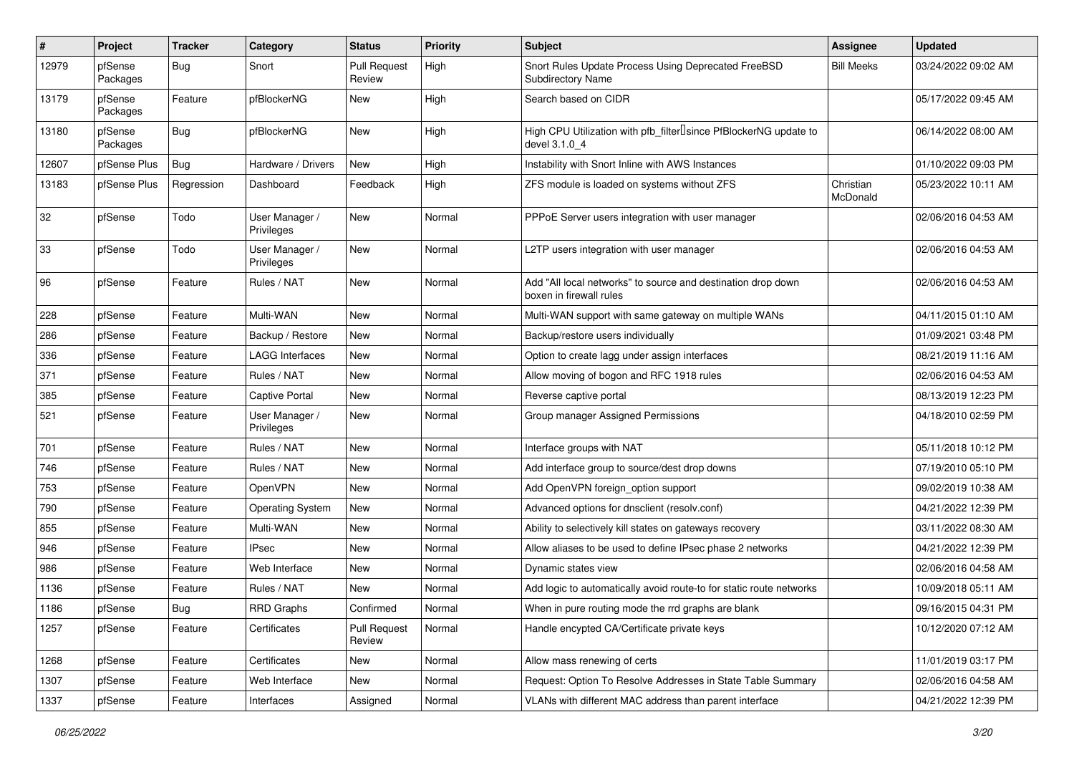| ∦     | Project             | <b>Tracker</b> | Category                     | <b>Status</b>                 | <b>Priority</b> | Subject                                                                                         | <b>Assignee</b>       | <b>Updated</b>      |
|-------|---------------------|----------------|------------------------------|-------------------------------|-----------------|-------------------------------------------------------------------------------------------------|-----------------------|---------------------|
| 12979 | pfSense<br>Packages | Bug            | Snort                        | <b>Pull Request</b><br>Review | High            | Snort Rules Update Process Using Deprecated FreeBSD<br>Subdirectory Name                        | <b>Bill Meeks</b>     | 03/24/2022 09:02 AM |
| 13179 | pfSense<br>Packages | Feature        | pfBlockerNG                  | New                           | High            | Search based on CIDR                                                                            |                       | 05/17/2022 09:45 AM |
| 13180 | pfSense<br>Packages | Bug            | pfBlockerNG                  | <b>New</b>                    | High            | High CPU Utilization with pfb_filter <sup>[]</sup> since PfBlockerNG update to<br>devel 3.1.0 4 |                       | 06/14/2022 08:00 AM |
| 12607 | pfSense Plus        | Bug            | Hardware / Drivers           | <b>New</b>                    | High            | Instability with Snort Inline with AWS Instances                                                |                       | 01/10/2022 09:03 PM |
| 13183 | pfSense Plus        | Regression     | Dashboard                    | Feedback                      | High            | ZFS module is loaded on systems without ZFS                                                     | Christian<br>McDonald | 05/23/2022 10:11 AM |
| 32    | pfSense             | Todo           | User Manager /<br>Privileges | New                           | Normal          | PPPoE Server users integration with user manager                                                |                       | 02/06/2016 04:53 AM |
| 33    | pfSense             | Todo           | User Manager /<br>Privileges | New                           | Normal          | L2TP users integration with user manager                                                        |                       | 02/06/2016 04:53 AM |
| 96    | pfSense             | Feature        | Rules / NAT                  | New                           | Normal          | Add "All local networks" to source and destination drop down<br>boxen in firewall rules         |                       | 02/06/2016 04:53 AM |
| 228   | pfSense             | Feature        | Multi-WAN                    | <b>New</b>                    | Normal          | Multi-WAN support with same gateway on multiple WANs                                            |                       | 04/11/2015 01:10 AM |
| 286   | pfSense             | Feature        | Backup / Restore             | New                           | Normal          | Backup/restore users individually                                                               |                       | 01/09/2021 03:48 PM |
| 336   | pfSense             | Feature        | <b>LAGG Interfaces</b>       | <b>New</b>                    | Normal          | Option to create lagg under assign interfaces                                                   |                       | 08/21/2019 11:16 AM |
| 371   | pfSense             | Feature        | Rules / NAT                  | <b>New</b>                    | Normal          | Allow moving of bogon and RFC 1918 rules                                                        |                       | 02/06/2016 04:53 AM |
| 385   | pfSense             | Feature        | <b>Captive Portal</b>        | New                           | Normal          | Reverse captive portal                                                                          |                       | 08/13/2019 12:23 PM |
| 521   | pfSense             | Feature        | User Manager /<br>Privileges | <b>New</b>                    | Normal          | Group manager Assigned Permissions                                                              |                       | 04/18/2010 02:59 PM |
| 701   | pfSense             | Feature        | Rules / NAT                  | <b>New</b>                    | Normal          | Interface groups with NAT                                                                       |                       | 05/11/2018 10:12 PM |
| 746   | pfSense             | Feature        | Rules / NAT                  | <b>New</b>                    | Normal          | Add interface group to source/dest drop downs                                                   |                       | 07/19/2010 05:10 PM |
| 753   | pfSense             | Feature        | <b>OpenVPN</b>               | <b>New</b>                    | Normal          | Add OpenVPN foreign option support                                                              |                       | 09/02/2019 10:38 AM |
| 790   | pfSense             | Feature        | <b>Operating System</b>      | New                           | Normal          | Advanced options for dnsclient (resolv.conf)                                                    |                       | 04/21/2022 12:39 PM |
| 855   | pfSense             | Feature        | Multi-WAN                    | <b>New</b>                    | Normal          | Ability to selectively kill states on gateways recovery                                         |                       | 03/11/2022 08:30 AM |
| 946   | pfSense             | Feature        | <b>IPsec</b>                 | New                           | Normal          | Allow aliases to be used to define IPsec phase 2 networks                                       |                       | 04/21/2022 12:39 PM |
| 986   | pfSense             | Feature        | Web Interface                | <b>New</b>                    | Normal          | Dynamic states view                                                                             |                       | 02/06/2016 04:58 AM |
| 1136  | pfSense             | Feature        | Rules / NAT                  | New                           | Normal          | Add logic to automatically avoid route-to for static route networks                             |                       | 10/09/2018 05:11 AM |
| 1186  | pfSense             | <b>Bug</b>     | <b>RRD Graphs</b>            | Confirmed                     | Normal          | When in pure routing mode the rrd graphs are blank                                              |                       | 09/16/2015 04:31 PM |
| 1257  | pfSense             | Feature        | Certificates                 | Pull Request<br>Review        | Normal          | Handle encypted CA/Certificate private keys                                                     |                       | 10/12/2020 07:12 AM |
| 1268  | pfSense             | Feature        | Certificates                 | New                           | Normal          | Allow mass renewing of certs                                                                    |                       | 11/01/2019 03:17 PM |
| 1307  | pfSense             | Feature        | Web Interface                | New                           | Normal          | Request: Option To Resolve Addresses in State Table Summary                                     |                       | 02/06/2016 04:58 AM |
| 1337  | pfSense             | Feature        | Interfaces                   | Assigned                      | Normal          | VLANs with different MAC address than parent interface                                          |                       | 04/21/2022 12:39 PM |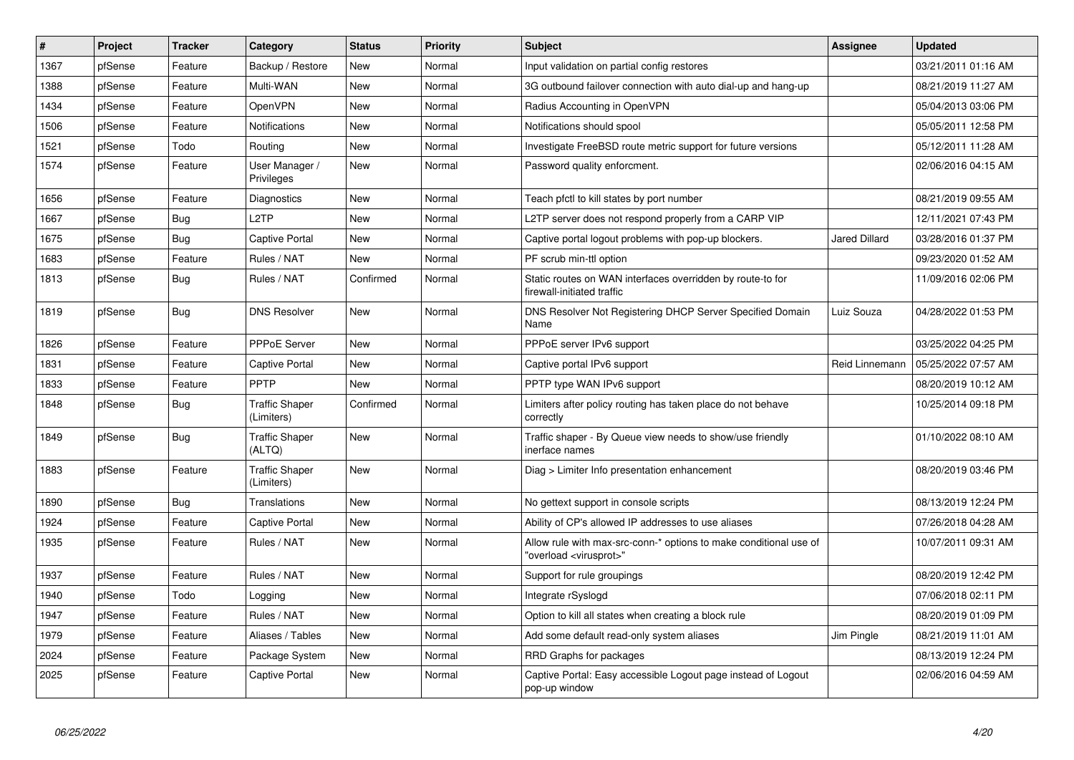| #    | Project | <b>Tracker</b> | Category                            | <b>Status</b> | <b>Priority</b> | <b>Subject</b>                                                                                          | <b>Assignee</b>      | <b>Updated</b>      |
|------|---------|----------------|-------------------------------------|---------------|-----------------|---------------------------------------------------------------------------------------------------------|----------------------|---------------------|
| 1367 | pfSense | Feature        | Backup / Restore                    | New           | Normal          | Input validation on partial config restores                                                             |                      | 03/21/2011 01:16 AM |
| 1388 | pfSense | Feature        | Multi-WAN                           | New           | Normal          | 3G outbound failover connection with auto dial-up and hang-up                                           |                      | 08/21/2019 11:27 AM |
| 1434 | pfSense | Feature        | OpenVPN                             | <b>New</b>    | Normal          | Radius Accounting in OpenVPN                                                                            |                      | 05/04/2013 03:06 PM |
| 1506 | pfSense | Feature        | <b>Notifications</b>                | <b>New</b>    | Normal          | Notifications should spool                                                                              |                      | 05/05/2011 12:58 PM |
| 1521 | pfSense | Todo           | Routing                             | <b>New</b>    | Normal          | Investigate FreeBSD route metric support for future versions                                            |                      | 05/12/2011 11:28 AM |
| 1574 | pfSense | Feature        | User Manager /<br>Privileges        | <b>New</b>    | Normal          | Password quality enforcment.                                                                            |                      | 02/06/2016 04:15 AM |
| 1656 | pfSense | Feature        | Diagnostics                         | <b>New</b>    | Normal          | Teach pfctl to kill states by port number                                                               |                      | 08/21/2019 09:55 AM |
| 1667 | pfSense | Bug            | L <sub>2</sub> TP                   | <b>New</b>    | Normal          | L2TP server does not respond properly from a CARP VIP                                                   |                      | 12/11/2021 07:43 PM |
| 1675 | pfSense | <b>Bug</b>     | <b>Captive Portal</b>               | <b>New</b>    | Normal          | Captive portal logout problems with pop-up blockers.                                                    | <b>Jared Dillard</b> | 03/28/2016 01:37 PM |
| 1683 | pfSense | Feature        | Rules / NAT                         | <b>New</b>    | Normal          | PF scrub min-ttl option                                                                                 |                      | 09/23/2020 01:52 AM |
| 1813 | pfSense | <b>Bug</b>     | Rules / NAT                         | Confirmed     | Normal          | Static routes on WAN interfaces overridden by route-to for<br>firewall-initiated traffic                |                      | 11/09/2016 02:06 PM |
| 1819 | pfSense | Bug            | <b>DNS Resolver</b>                 | <b>New</b>    | Normal          | DNS Resolver Not Registering DHCP Server Specified Domain<br>Name                                       | Luiz Souza           | 04/28/2022 01:53 PM |
| 1826 | pfSense | Feature        | PPPoE Server                        | <b>New</b>    | Normal          | PPPoE server IPv6 support                                                                               |                      | 03/25/2022 04:25 PM |
| 1831 | pfSense | Feature        | Captive Portal                      | New           | Normal          | Captive portal IPv6 support                                                                             | Reid Linnemann       | 05/25/2022 07:57 AM |
| 1833 | pfSense | Feature        | PPTP                                | <b>New</b>    | Normal          | PPTP type WAN IPv6 support                                                                              |                      | 08/20/2019 10:12 AM |
| 1848 | pfSense | <b>Bug</b>     | <b>Traffic Shaper</b><br>(Limiters) | Confirmed     | Normal          | Limiters after policy routing has taken place do not behave<br>correctly                                |                      | 10/25/2014 09:18 PM |
| 1849 | pfSense | Bug            | <b>Traffic Shaper</b><br>(ALTQ)     | <b>New</b>    | Normal          | Traffic shaper - By Queue view needs to show/use friendly<br>inerface names                             |                      | 01/10/2022 08:10 AM |
| 1883 | pfSense | Feature        | <b>Traffic Shaper</b><br>(Limiters) | New           | Normal          | Diag > Limiter Info presentation enhancement                                                            |                      | 08/20/2019 03:46 PM |
| 1890 | pfSense | <b>Bug</b>     | Translations                        | <b>New</b>    | Normal          | No gettext support in console scripts                                                                   |                      | 08/13/2019 12:24 PM |
| 1924 | pfSense | Feature        | <b>Captive Portal</b>               | <b>New</b>    | Normal          | Ability of CP's allowed IP addresses to use aliases                                                     |                      | 07/26/2018 04:28 AM |
| 1935 | pfSense | Feature        | Rules / NAT                         | <b>New</b>    | Normal          | Allow rule with max-src-conn-* options to make conditional use of<br>'overload <virusprot>"</virusprot> |                      | 10/07/2011 09:31 AM |
| 1937 | pfSense | Feature        | Rules / NAT                         | <b>New</b>    | Normal          | Support for rule groupings                                                                              |                      | 08/20/2019 12:42 PM |
| 1940 | pfSense | Todo           | Logging                             | <b>New</b>    | Normal          | Integrate rSyslogd                                                                                      |                      | 07/06/2018 02:11 PM |
| 1947 | pfSense | Feature        | Rules / NAT                         | <b>New</b>    | Normal          | Option to kill all states when creating a block rule                                                    |                      | 08/20/2019 01:09 PM |
| 1979 | pfSense | Feature        | Aliases / Tables                    | <b>New</b>    | Normal          | Add some default read-only system aliases                                                               | Jim Pingle           | 08/21/2019 11:01 AM |
| 2024 | pfSense | Feature        | Package System                      | <b>New</b>    | Normal          | RRD Graphs for packages                                                                                 |                      | 08/13/2019 12:24 PM |
| 2025 | pfSense | Feature        | Captive Portal                      | <b>New</b>    | Normal          | Captive Portal: Easy accessible Logout page instead of Logout<br>pop-up window                          |                      | 02/06/2016 04:59 AM |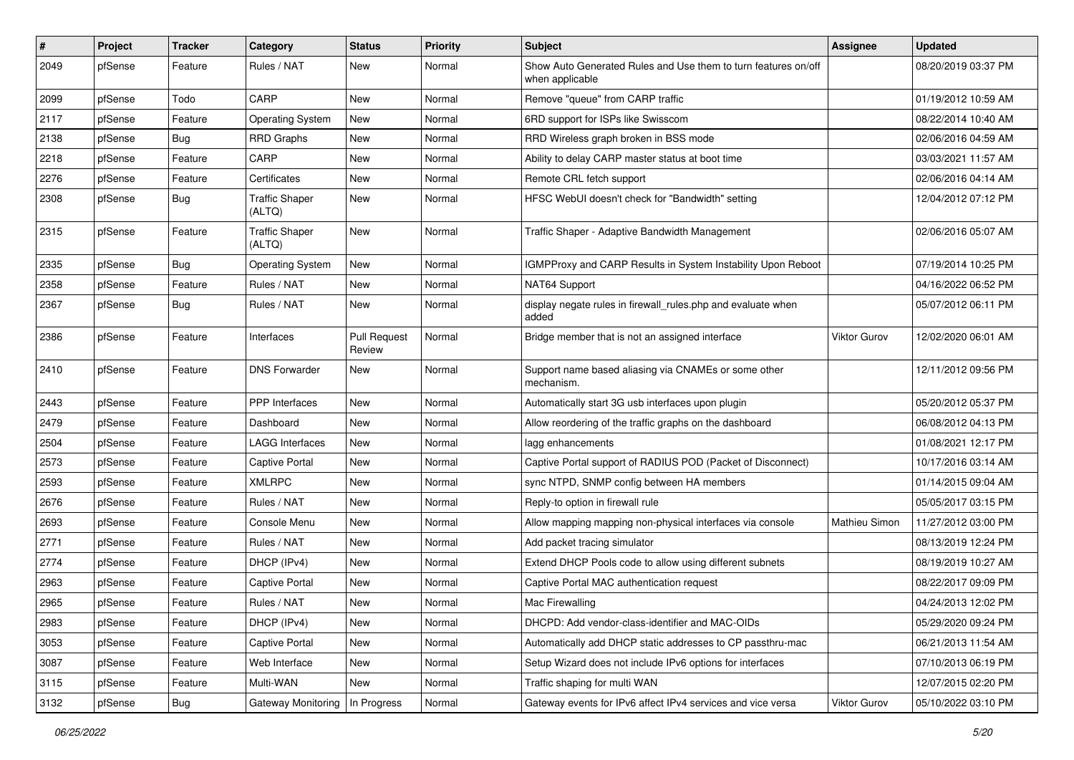| $\sharp$ | Project | <b>Tracker</b> | Category                        | <b>Status</b>                 | <b>Priority</b> | Subject                                                                           | <b>Assignee</b>     | <b>Updated</b>      |
|----------|---------|----------------|---------------------------------|-------------------------------|-----------------|-----------------------------------------------------------------------------------|---------------------|---------------------|
| 2049     | pfSense | Feature        | Rules / NAT                     | New                           | Normal          | Show Auto Generated Rules and Use them to turn features on/off<br>when applicable |                     | 08/20/2019 03:37 PM |
| 2099     | pfSense | Todo           | CARP                            | New                           | Normal          | Remove "queue" from CARP traffic                                                  |                     | 01/19/2012 10:59 AM |
| 2117     | pfSense | Feature        | <b>Operating System</b>         | New                           | Normal          | 6RD support for ISPs like Swisscom                                                |                     | 08/22/2014 10:40 AM |
| 2138     | pfSense | <b>Bug</b>     | <b>RRD Graphs</b>               | New                           | Normal          | RRD Wireless graph broken in BSS mode                                             |                     | 02/06/2016 04:59 AM |
| 2218     | pfSense | Feature        | CARP                            | New                           | Normal          | Ability to delay CARP master status at boot time                                  |                     | 03/03/2021 11:57 AM |
| 2276     | pfSense | Feature        | Certificates                    | New                           | Normal          | Remote CRL fetch support                                                          |                     | 02/06/2016 04:14 AM |
| 2308     | pfSense | <b>Bug</b>     | <b>Traffic Shaper</b><br>(ALTQ) | New                           | Normal          | HFSC WebUI doesn't check for "Bandwidth" setting                                  |                     | 12/04/2012 07:12 PM |
| 2315     | pfSense | Feature        | <b>Traffic Shaper</b><br>(ALTQ) | New                           | Normal          | Traffic Shaper - Adaptive Bandwidth Management                                    |                     | 02/06/2016 05:07 AM |
| 2335     | pfSense | Bug            | <b>Operating System</b>         | New                           | Normal          | IGMPProxy and CARP Results in System Instability Upon Reboot                      |                     | 07/19/2014 10:25 PM |
| 2358     | pfSense | Feature        | Rules / NAT                     | New                           | Normal          | NAT64 Support                                                                     |                     | 04/16/2022 06:52 PM |
| 2367     | pfSense | <b>Bug</b>     | Rules / NAT                     | New                           | Normal          | display negate rules in firewall_rules.php and evaluate when<br>added             |                     | 05/07/2012 06:11 PM |
| 2386     | pfSense | Feature        | Interfaces                      | <b>Pull Request</b><br>Review | Normal          | Bridge member that is not an assigned interface                                   | <b>Viktor Gurov</b> | 12/02/2020 06:01 AM |
| 2410     | pfSense | Feature        | <b>DNS Forwarder</b>            | New                           | Normal          | Support name based aliasing via CNAMEs or some other<br>mechanism.                |                     | 12/11/2012 09:56 PM |
| 2443     | pfSense | Feature        | <b>PPP</b> Interfaces           | New                           | Normal          | Automatically start 3G usb interfaces upon plugin                                 |                     | 05/20/2012 05:37 PM |
| 2479     | pfSense | Feature        | Dashboard                       | New                           | Normal          | Allow reordering of the traffic graphs on the dashboard                           |                     | 06/08/2012 04:13 PM |
| 2504     | pfSense | Feature        | <b>LAGG Interfaces</b>          | New                           | Normal          | lagg enhancements                                                                 |                     | 01/08/2021 12:17 PM |
| 2573     | pfSense | Feature        | <b>Captive Portal</b>           | New                           | Normal          | Captive Portal support of RADIUS POD (Packet of Disconnect)                       |                     | 10/17/2016 03:14 AM |
| 2593     | pfSense | Feature        | <b>XMLRPC</b>                   | New                           | Normal          | sync NTPD, SNMP config between HA members                                         |                     | 01/14/2015 09:04 AM |
| 2676     | pfSense | Feature        | Rules / NAT                     | New                           | Normal          | Reply-to option in firewall rule                                                  |                     | 05/05/2017 03:15 PM |
| 2693     | pfSense | Feature        | Console Menu                    | New                           | Normal          | Allow mapping mapping non-physical interfaces via console                         | Mathieu Simon       | 11/27/2012 03:00 PM |
| 2771     | pfSense | Feature        | Rules / NAT                     | New                           | Normal          | Add packet tracing simulator                                                      |                     | 08/13/2019 12:24 PM |
| 2774     | pfSense | Feature        | DHCP (IPv4)                     | New                           | Normal          | Extend DHCP Pools code to allow using different subnets                           |                     | 08/19/2019 10:27 AM |
| 2963     | pfSense | Feature        | <b>Captive Portal</b>           | New                           | Normal          | Captive Portal MAC authentication request                                         |                     | 08/22/2017 09:09 PM |
| 2965     | pfSense | Feature        | Rules / NAT                     | New                           | Normal          | Mac Firewalling                                                                   |                     | 04/24/2013 12:02 PM |
| 2983     | pfSense | Feature        | DHCP (IPv4)                     | New                           | Normal          | DHCPD: Add vendor-class-identifier and MAC-OIDs                                   |                     | 05/29/2020 09:24 PM |
| 3053     | pfSense | Feature        | Captive Portal                  | New                           | Normal          | Automatically add DHCP static addresses to CP passthru-mac                        |                     | 06/21/2013 11:54 AM |
| 3087     | pfSense | Feature        | Web Interface                   | New                           | Normal          | Setup Wizard does not include IPv6 options for interfaces                         |                     | 07/10/2013 06:19 PM |
| 3115     | pfSense | Feature        | Multi-WAN                       | New                           | Normal          | Traffic shaping for multi WAN                                                     |                     | 12/07/2015 02:20 PM |
| 3132     | pfSense | Bug            | Gateway Monitoring              | In Progress                   | Normal          | Gateway events for IPv6 affect IPv4 services and vice versa                       | <b>Viktor Gurov</b> | 05/10/2022 03:10 PM |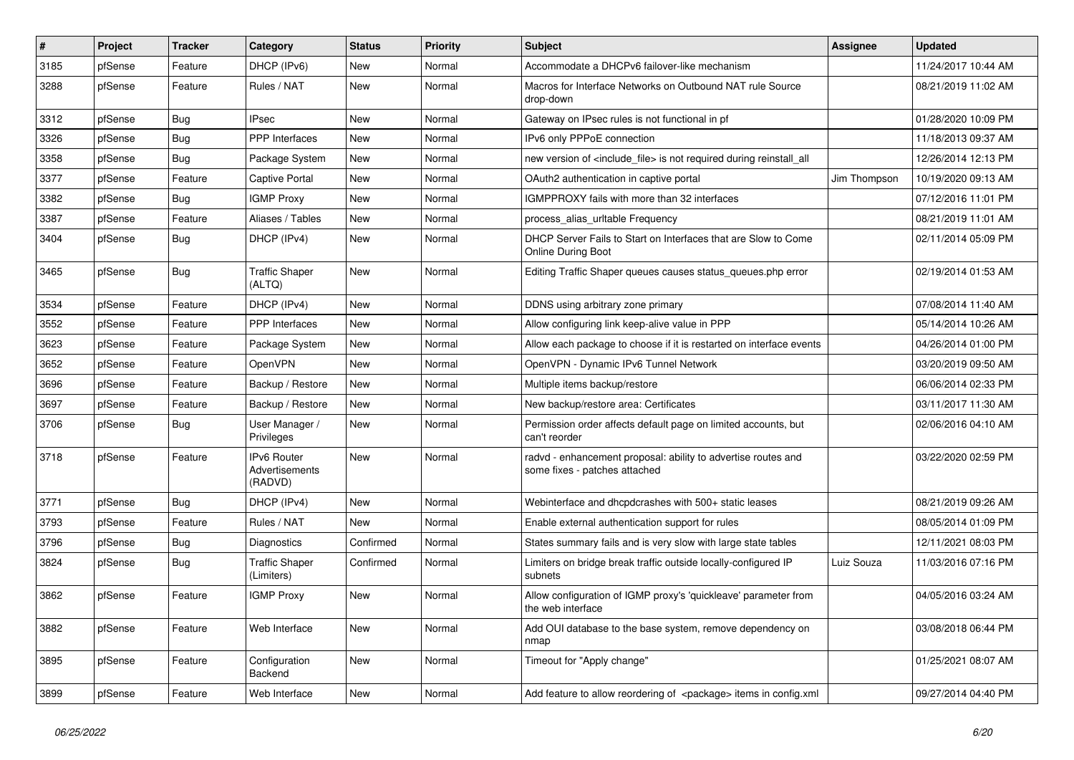| $\vert$ # | Project | <b>Tracker</b> | Category                                        | <b>Status</b> | <b>Priority</b> | <b>Subject</b>                                                                                 | <b>Assignee</b> | <b>Updated</b>      |
|-----------|---------|----------------|-------------------------------------------------|---------------|-----------------|------------------------------------------------------------------------------------------------|-----------------|---------------------|
| 3185      | pfSense | Feature        | DHCP (IPv6)                                     | New           | Normal          | Accommodate a DHCPv6 failover-like mechanism                                                   |                 | 11/24/2017 10:44 AM |
| 3288      | pfSense | Feature        | Rules / NAT                                     | New           | Normal          | Macros for Interface Networks on Outbound NAT rule Source<br>drop-down                         |                 | 08/21/2019 11:02 AM |
| 3312      | pfSense | Bug            | <b>IPsec</b>                                    | <b>New</b>    | Normal          | Gateway on IPsec rules is not functional in pf                                                 |                 | 01/28/2020 10:09 PM |
| 3326      | pfSense | Bug            | PPP Interfaces                                  | New           | Normal          | IPv6 only PPPoE connection                                                                     |                 | 11/18/2013 09:37 AM |
| 3358      | pfSense | Bug            | Package System                                  | New           | Normal          | new version of <include file=""> is not required during reinstall all</include>                |                 | 12/26/2014 12:13 PM |
| 3377      | pfSense | Feature        | <b>Captive Portal</b>                           | New           | Normal          | OAuth2 authentication in captive portal                                                        | Jim Thompson    | 10/19/2020 09:13 AM |
| 3382      | pfSense | Bug            | <b>IGMP Proxy</b>                               | <b>New</b>    | Normal          | IGMPPROXY fails with more than 32 interfaces                                                   |                 | 07/12/2016 11:01 PM |
| 3387      | pfSense | Feature        | Aliases / Tables                                | New           | Normal          | process_alias_urltable Frequency                                                               |                 | 08/21/2019 11:01 AM |
| 3404      | pfSense | <b>Bug</b>     | DHCP (IPv4)                                     | New           | Normal          | DHCP Server Fails to Start on Interfaces that are Slow to Come<br><b>Online During Boot</b>    |                 | 02/11/2014 05:09 PM |
| 3465      | pfSense | Bug            | <b>Traffic Shaper</b><br>(ALTQ)                 | <b>New</b>    | Normal          | Editing Traffic Shaper queues causes status_queues.php error                                   |                 | 02/19/2014 01:53 AM |
| 3534      | pfSense | Feature        | DHCP (IPv4)                                     | New           | Normal          | DDNS using arbitrary zone primary                                                              |                 | 07/08/2014 11:40 AM |
| 3552      | pfSense | Feature        | PPP Interfaces                                  | New           | Normal          | Allow configuring link keep-alive value in PPP                                                 |                 | 05/14/2014 10:26 AM |
| 3623      | pfSense | Feature        | Package System                                  | <b>New</b>    | Normal          | Allow each package to choose if it is restarted on interface events                            |                 | 04/26/2014 01:00 PM |
| 3652      | pfSense | Feature        | OpenVPN                                         | New           | Normal          | OpenVPN - Dynamic IPv6 Tunnel Network                                                          |                 | 03/20/2019 09:50 AM |
| 3696      | pfSense | Feature        | Backup / Restore                                | <b>New</b>    | Normal          | Multiple items backup/restore                                                                  |                 | 06/06/2014 02:33 PM |
| 3697      | pfSense | Feature        | Backup / Restore                                | New           | Normal          | New backup/restore area: Certificates                                                          |                 | 03/11/2017 11:30 AM |
| 3706      | pfSense | Bug            | User Manager /<br>Privileges                    | New           | Normal          | Permission order affects default page on limited accounts, but<br>can't reorder                |                 | 02/06/2016 04:10 AM |
| 3718      | pfSense | Feature        | <b>IPv6 Router</b><br>Advertisements<br>(RADVD) | <b>New</b>    | Normal          | radvd - enhancement proposal: ability to advertise routes and<br>some fixes - patches attached |                 | 03/22/2020 02:59 PM |
| 3771      | pfSense | Bug            | DHCP (IPv4)                                     | New           | Normal          | Webinterface and dhcpdcrashes with 500+ static leases                                          |                 | 08/21/2019 09:26 AM |
| 3793      | pfSense | Feature        | Rules / NAT                                     | <b>New</b>    | Normal          | Enable external authentication support for rules                                               |                 | 08/05/2014 01:09 PM |
| 3796      | pfSense | <b>Bug</b>     | <b>Diagnostics</b>                              | Confirmed     | Normal          | States summary fails and is very slow with large state tables                                  |                 | 12/11/2021 08:03 PM |
| 3824      | pfSense | <b>Bug</b>     | <b>Traffic Shaper</b><br>(Limiters)             | Confirmed     | Normal          | Limiters on bridge break traffic outside locally-configured IP<br>subnets                      | Luiz Souza      | 11/03/2016 07:16 PM |
| 3862      | pfSense | Feature        | <b>IGMP Proxy</b>                               | New           | Normal          | Allow configuration of IGMP proxy's 'quickleave' parameter from<br>the web interface           |                 | 04/05/2016 03:24 AM |
| 3882      | pfSense | Feature        | Web Interface                                   | New           | Normal          | Add OUI database to the base system, remove dependency on<br>nmap                              |                 | 03/08/2018 06:44 PM |
| 3895      | pfSense | Feature        | Configuration<br>Backend                        | New           | Normal          | Timeout for "Apply change"                                                                     |                 | 01/25/2021 08:07 AM |
| 3899      | pfSense | Feature        | Web Interface                                   | New           | Normal          | Add feature to allow reordering of <package> items in config.xml</package>                     |                 | 09/27/2014 04:40 PM |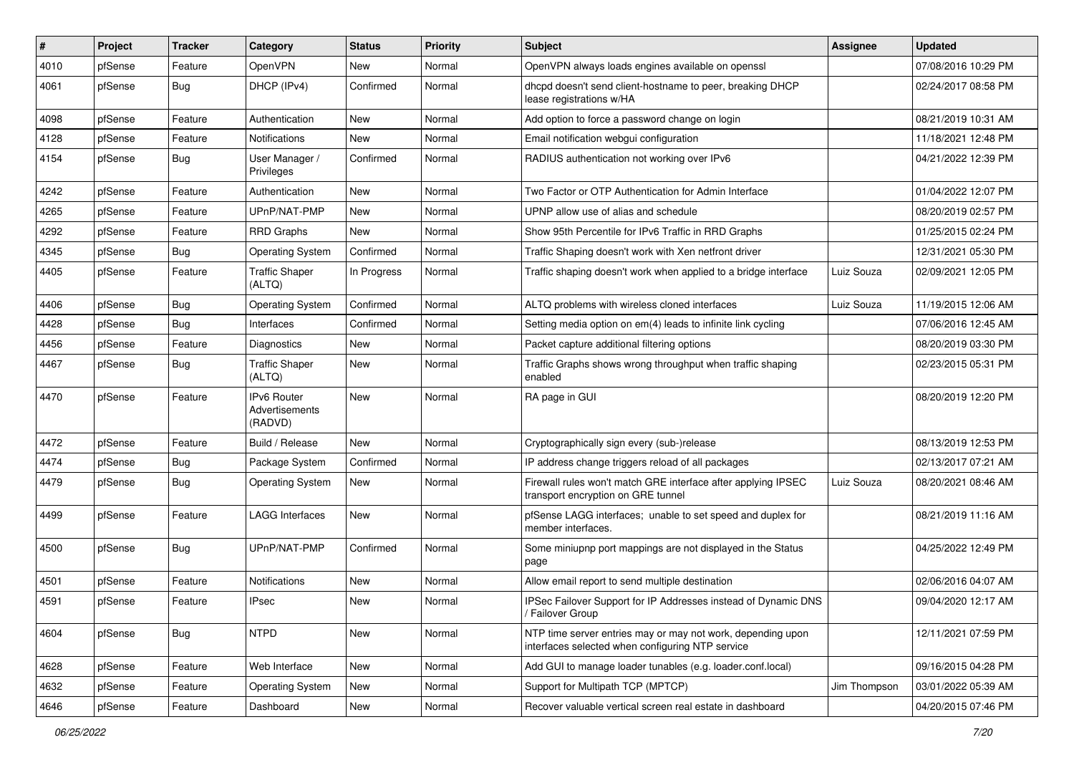| ∦    | Project | <b>Tracker</b> | Category                                 | <b>Status</b> | Priority | Subject                                                                                                         | <b>Assignee</b> | <b>Updated</b>      |
|------|---------|----------------|------------------------------------------|---------------|----------|-----------------------------------------------------------------------------------------------------------------|-----------------|---------------------|
| 4010 | pfSense | Feature        | OpenVPN                                  | New           | Normal   | OpenVPN always loads engines available on openssl                                                               |                 | 07/08/2016 10:29 PM |
| 4061 | pfSense | Bug            | DHCP (IPv4)                              | Confirmed     | Normal   | dhcpd doesn't send client-hostname to peer, breaking DHCP<br>lease registrations w/HA                           |                 | 02/24/2017 08:58 PM |
| 4098 | pfSense | Feature        | Authentication                           | <b>New</b>    | Normal   | Add option to force a password change on login                                                                  |                 | 08/21/2019 10:31 AM |
| 4128 | pfSense | Feature        | Notifications                            | <b>New</b>    | Normal   | Email notification webgui configuration                                                                         |                 | 11/18/2021 12:48 PM |
| 4154 | pfSense | Bug            | User Manager /<br>Privileges             | Confirmed     | Normal   | RADIUS authentication not working over IPv6                                                                     |                 | 04/21/2022 12:39 PM |
| 4242 | pfSense | Feature        | Authentication                           | <b>New</b>    | Normal   | Two Factor or OTP Authentication for Admin Interface                                                            |                 | 01/04/2022 12:07 PM |
| 4265 | pfSense | Feature        | UPnP/NAT-PMP                             | New           | Normal   | UPNP allow use of alias and schedule                                                                            |                 | 08/20/2019 02:57 PM |
| 4292 | pfSense | Feature        | <b>RRD Graphs</b>                        | <b>New</b>    | Normal   | Show 95th Percentile for IPv6 Traffic in RRD Graphs                                                             |                 | 01/25/2015 02:24 PM |
| 4345 | pfSense | <b>Bug</b>     | <b>Operating System</b>                  | Confirmed     | Normal   | Traffic Shaping doesn't work with Xen netfront driver                                                           |                 | 12/31/2021 05:30 PM |
| 4405 | pfSense | Feature        | <b>Traffic Shaper</b><br>(ALTQ)          | In Progress   | Normal   | Traffic shaping doesn't work when applied to a bridge interface                                                 | Luiz Souza      | 02/09/2021 12:05 PM |
| 4406 | pfSense | <b>Bug</b>     | <b>Operating System</b>                  | Confirmed     | Normal   | ALTQ problems with wireless cloned interfaces                                                                   | Luiz Souza      | 11/19/2015 12:06 AM |
| 4428 | pfSense | <b>Bug</b>     | Interfaces                               | Confirmed     | Normal   | Setting media option on em(4) leads to infinite link cycling                                                    |                 | 07/06/2016 12:45 AM |
| 4456 | pfSense | Feature        | <b>Diagnostics</b>                       | New           | Normal   | Packet capture additional filtering options                                                                     |                 | 08/20/2019 03:30 PM |
| 4467 | pfSense | Bug            | <b>Traffic Shaper</b><br>(ALTQ)          | <b>New</b>    | Normal   | Traffic Graphs shows wrong throughput when traffic shaping<br>enabled                                           |                 | 02/23/2015 05:31 PM |
| 4470 | pfSense | Feature        | IPv6 Router<br>Advertisements<br>(RADVD) | <b>New</b>    | Normal   | RA page in GUI                                                                                                  |                 | 08/20/2019 12:20 PM |
| 4472 | pfSense | Feature        | Build / Release                          | <b>New</b>    | Normal   | Cryptographically sign every (sub-)release                                                                      |                 | 08/13/2019 12:53 PM |
| 4474 | pfSense | <b>Bug</b>     | Package System                           | Confirmed     | Normal   | IP address change triggers reload of all packages                                                               |                 | 02/13/2017 07:21 AM |
| 4479 | pfSense | <b>Bug</b>     | <b>Operating System</b>                  | <b>New</b>    | Normal   | Firewall rules won't match GRE interface after applying IPSEC<br>transport encryption on GRE tunnel             | Luiz Souza      | 08/20/2021 08:46 AM |
| 4499 | pfSense | Feature        | <b>LAGG Interfaces</b>                   | New           | Normal   | pfSense LAGG interfaces; unable to set speed and duplex for<br>member interfaces.                               |                 | 08/21/2019 11:16 AM |
| 4500 | pfSense | <b>Bug</b>     | UPnP/NAT-PMP                             | Confirmed     | Normal   | Some miniupnp port mappings are not displayed in the Status<br>page                                             |                 | 04/25/2022 12:49 PM |
| 4501 | pfSense | Feature        | <b>Notifications</b>                     | New           | Normal   | Allow email report to send multiple destination                                                                 |                 | 02/06/2016 04:07 AM |
| 4591 | pfSense | Feature        | <b>IPsec</b>                             | <b>New</b>    | Normal   | IPSec Failover Support for IP Addresses instead of Dynamic DNS<br>/ Failover Group                              |                 | 09/04/2020 12:17 AM |
| 4604 | pfSense | Bug            | <b>NTPD</b>                              | New           | Normal   | NTP time server entries may or may not work, depending upon<br>interfaces selected when configuring NTP service |                 | 12/11/2021 07:59 PM |
| 4628 | pfSense | Feature        | Web Interface                            | New           | Normal   | Add GUI to manage loader tunables (e.g. loader.conf.local)                                                      |                 | 09/16/2015 04:28 PM |
| 4632 | pfSense | Feature        | <b>Operating System</b>                  | New           | Normal   | Support for Multipath TCP (MPTCP)                                                                               | Jim Thompson    | 03/01/2022 05:39 AM |
| 4646 | pfSense | Feature        | Dashboard                                | New           | Normal   | Recover valuable vertical screen real estate in dashboard                                                       |                 | 04/20/2015 07:46 PM |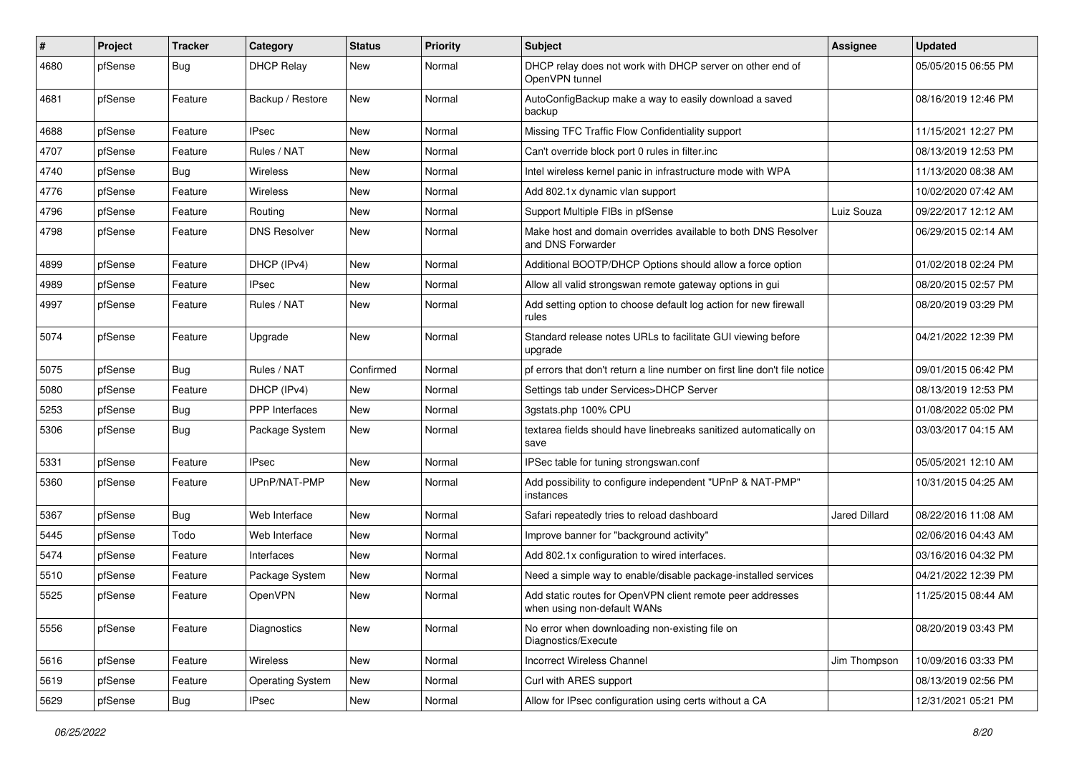| $\vert$ # | Project | <b>Tracker</b> | Category                | <b>Status</b> | Priority | Subject                                                                                   | <b>Assignee</b> | <b>Updated</b>      |
|-----------|---------|----------------|-------------------------|---------------|----------|-------------------------------------------------------------------------------------------|-----------------|---------------------|
| 4680      | pfSense | Bug            | <b>DHCP Relay</b>       | New           | Normal   | DHCP relay does not work with DHCP server on other end of<br>OpenVPN tunnel               |                 | 05/05/2015 06:55 PM |
| 4681      | pfSense | Feature        | Backup / Restore        | New           | Normal   | AutoConfigBackup make a way to easily download a saved<br>backup                          |                 | 08/16/2019 12:46 PM |
| 4688      | pfSense | Feature        | <b>IPsec</b>            | New           | Normal   | Missing TFC Traffic Flow Confidentiality support                                          |                 | 11/15/2021 12:27 PM |
| 4707      | pfSense | Feature        | Rules / NAT             | New           | Normal   | Can't override block port 0 rules in filter.inc                                           |                 | 08/13/2019 12:53 PM |
| 4740      | pfSense | <b>Bug</b>     | Wireless                | New           | Normal   | Intel wireless kernel panic in infrastructure mode with WPA                               |                 | 11/13/2020 08:38 AM |
| 4776      | pfSense | Feature        | Wireless                | New           | Normal   | Add 802.1x dynamic vlan support                                                           |                 | 10/02/2020 07:42 AM |
| 4796      | pfSense | Feature        | Routing                 | New           | Normal   | Support Multiple FIBs in pfSense                                                          | Luiz Souza      | 09/22/2017 12:12 AM |
| 4798      | pfSense | Feature        | <b>DNS Resolver</b>     | New           | Normal   | Make host and domain overrides available to both DNS Resolver<br>and DNS Forwarder        |                 | 06/29/2015 02:14 AM |
| 4899      | pfSense | Feature        | DHCP (IPv4)             | New           | Normal   | Additional BOOTP/DHCP Options should allow a force option                                 |                 | 01/02/2018 02:24 PM |
| 4989      | pfSense | Feature        | <b>IPsec</b>            | New           | Normal   | Allow all valid strongswan remote gateway options in gui                                  |                 | 08/20/2015 02:57 PM |
| 4997      | pfSense | Feature        | Rules / NAT             | New           | Normal   | Add setting option to choose default log action for new firewall<br>rules                 |                 | 08/20/2019 03:29 PM |
| 5074      | pfSense | Feature        | Upgrade                 | <b>New</b>    | Normal   | Standard release notes URLs to facilitate GUI viewing before<br>upgrade                   |                 | 04/21/2022 12:39 PM |
| 5075      | pfSense | <b>Bug</b>     | Rules / NAT             | Confirmed     | Normal   | pf errors that don't return a line number on first line don't file notice                 |                 | 09/01/2015 06:42 PM |
| 5080      | pfSense | Feature        | DHCP (IPv4)             | New           | Normal   | Settings tab under Services>DHCP Server                                                   |                 | 08/13/2019 12:53 PM |
| 5253      | pfSense | Bug            | <b>PPP</b> Interfaces   | New           | Normal   | 3gstats.php 100% CPU                                                                      |                 | 01/08/2022 05:02 PM |
| 5306      | pfSense | <b>Bug</b>     | Package System          | New           | Normal   | textarea fields should have linebreaks sanitized automatically on<br>save                 |                 | 03/03/2017 04:15 AM |
| 5331      | pfSense | Feature        | IPsec                   | New           | Normal   | IPSec table for tuning strongswan.conf                                                    |                 | 05/05/2021 12:10 AM |
| 5360      | pfSense | Feature        | UPnP/NAT-PMP            | New           | Normal   | Add possibility to configure independent "UPnP & NAT-PMP"<br>instances                    |                 | 10/31/2015 04:25 AM |
| 5367      | pfSense | Bug            | Web Interface           | <b>New</b>    | Normal   | Safari repeatedly tries to reload dashboard                                               | Jared Dillard   | 08/22/2016 11:08 AM |
| 5445      | pfSense | Todo           | Web Interface           | New           | Normal   | Improve banner for "background activity"                                                  |                 | 02/06/2016 04:43 AM |
| 5474      | pfSense | Feature        | Interfaces              | New           | Normal   | Add 802.1x configuration to wired interfaces.                                             |                 | 03/16/2016 04:32 PM |
| 5510      | pfSense | Feature        | Package System          | New           | Normal   | Need a simple way to enable/disable package-installed services                            |                 | 04/21/2022 12:39 PM |
| 5525      | pfSense | Feature        | OpenVPN                 | New           | Normal   | Add static routes for OpenVPN client remote peer addresses<br>when using non-default WANs |                 | 11/25/2015 08:44 AM |
| 5556      | pfSense | Feature        | Diagnostics             | <b>New</b>    | Normal   | No error when downloading non-existing file on<br>Diagnostics/Execute                     |                 | 08/20/2019 03:43 PM |
| 5616      | pfSense | Feature        | Wireless                | New           | Normal   | Incorrect Wireless Channel                                                                | Jim Thompson    | 10/09/2016 03:33 PM |
| 5619      | pfSense | Feature        | <b>Operating System</b> | New           | Normal   | Curl with ARES support                                                                    |                 | 08/13/2019 02:56 PM |
| 5629      | pfSense | Bug            | <b>IPsec</b>            | New           | Normal   | Allow for IPsec configuration using certs without a CA                                    |                 | 12/31/2021 05:21 PM |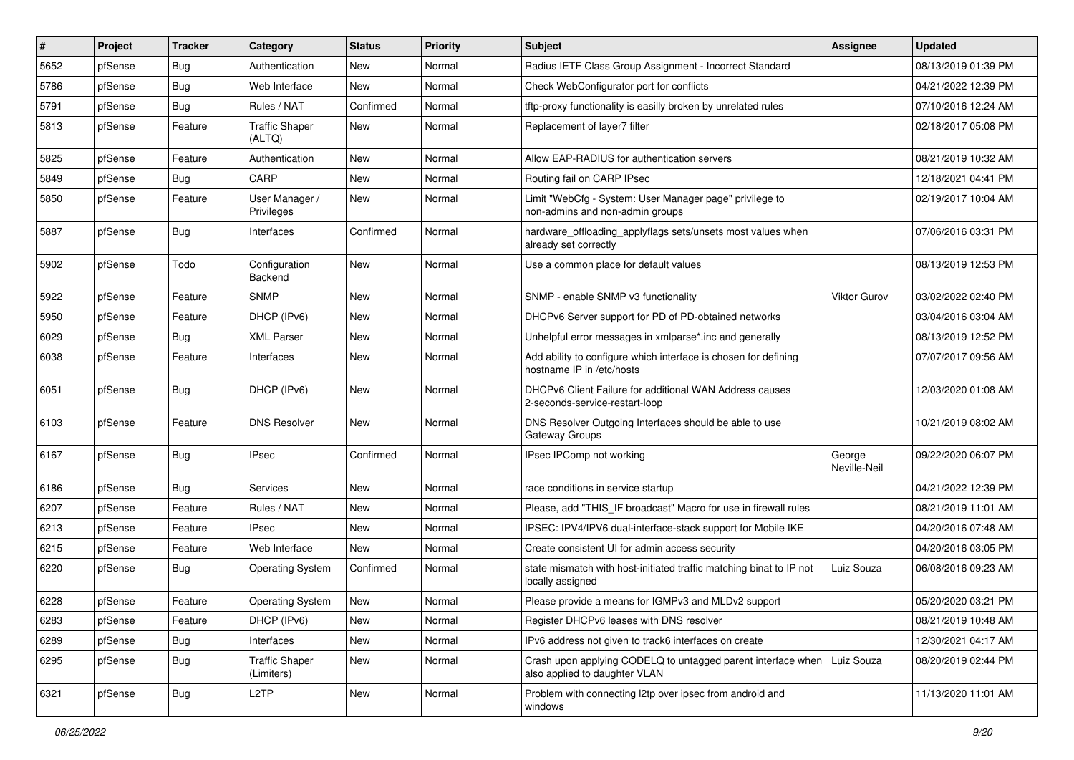| $\vert$ # | Project | <b>Tracker</b> | Category                            | <b>Status</b> | Priority | Subject                                                                                                    | <b>Assignee</b>        | <b>Updated</b>      |
|-----------|---------|----------------|-------------------------------------|---------------|----------|------------------------------------------------------------------------------------------------------------|------------------------|---------------------|
| 5652      | pfSense | <b>Bug</b>     | Authentication                      | New           | Normal   | Radius IETF Class Group Assignment - Incorrect Standard                                                    |                        | 08/13/2019 01:39 PM |
| 5786      | pfSense | <b>Bug</b>     | Web Interface                       | New           | Normal   | Check WebConfigurator port for conflicts                                                                   |                        | 04/21/2022 12:39 PM |
| 5791      | pfSense | <b>Bug</b>     | Rules / NAT                         | Confirmed     | Normal   | tftp-proxy functionality is easilly broken by unrelated rules                                              |                        | 07/10/2016 12:24 AM |
| 5813      | pfSense | Feature        | <b>Traffic Shaper</b><br>(ALTQ)     | <b>New</b>    | Normal   | Replacement of layer7 filter                                                                               |                        | 02/18/2017 05:08 PM |
| 5825      | pfSense | Feature        | Authentication                      | New           | Normal   | Allow EAP-RADIUS for authentication servers                                                                |                        | 08/21/2019 10:32 AM |
| 5849      | pfSense | Bug            | CARP                                | <b>New</b>    | Normal   | Routing fail on CARP IPsec                                                                                 |                        | 12/18/2021 04:41 PM |
| 5850      | pfSense | Feature        | User Manager /<br>Privileges        | <b>New</b>    | Normal   | Limit "WebCfg - System: User Manager page" privilege to<br>non-admins and non-admin groups                 |                        | 02/19/2017 10:04 AM |
| 5887      | pfSense | <b>Bug</b>     | Interfaces                          | Confirmed     | Normal   | hardware_offloading_applyflags sets/unsets most values when<br>already set correctly                       |                        | 07/06/2016 03:31 PM |
| 5902      | pfSense | Todo           | Configuration<br><b>Backend</b>     | <b>New</b>    | Normal   | Use a common place for default values                                                                      |                        | 08/13/2019 12:53 PM |
| 5922      | pfSense | Feature        | <b>SNMP</b>                         | New           | Normal   | SNMP - enable SNMP v3 functionality                                                                        | <b>Viktor Gurov</b>    | 03/02/2022 02:40 PM |
| 5950      | pfSense | Feature        | DHCP (IPv6)                         | <b>New</b>    | Normal   | DHCPv6 Server support for PD of PD-obtained networks                                                       |                        | 03/04/2016 03:04 AM |
| 6029      | pfSense | <b>Bug</b>     | <b>XML Parser</b>                   | <b>New</b>    | Normal   | Unhelpful error messages in xmlparse*.inc and generally                                                    |                        | 08/13/2019 12:52 PM |
| 6038      | pfSense | Feature        | Interfaces                          | <b>New</b>    | Normal   | Add ability to configure which interface is chosen for defining<br>hostname IP in /etc/hosts               |                        | 07/07/2017 09:56 AM |
| 6051      | pfSense | Bug            | DHCP (IPv6)                         | <b>New</b>    | Normal   | DHCPv6 Client Failure for additional WAN Address causes<br>2-seconds-service-restart-loop                  |                        | 12/03/2020 01:08 AM |
| 6103      | pfSense | Feature        | <b>DNS Resolver</b>                 | <b>New</b>    | Normal   | DNS Resolver Outgoing Interfaces should be able to use<br>Gateway Groups                                   |                        | 10/21/2019 08:02 AM |
| 6167      | pfSense | <b>Bug</b>     | <b>IPsec</b>                        | Confirmed     | Normal   | IPsec IPComp not working                                                                                   | George<br>Neville-Neil | 09/22/2020 06:07 PM |
| 6186      | pfSense | <b>Bug</b>     | Services                            | New           | Normal   | race conditions in service startup                                                                         |                        | 04/21/2022 12:39 PM |
| 6207      | pfSense | Feature        | Rules / NAT                         | <b>New</b>    | Normal   | Please, add "THIS_IF broadcast" Macro for use in firewall rules                                            |                        | 08/21/2019 11:01 AM |
| 6213      | pfSense | Feature        | <b>IPsec</b>                        | <b>New</b>    | Normal   | IPSEC: IPV4/IPV6 dual-interface-stack support for Mobile IKE                                               |                        | 04/20/2016 07:48 AM |
| 6215      | pfSense | Feature        | Web Interface                       | <b>New</b>    | Normal   | Create consistent UI for admin access security                                                             |                        | 04/20/2016 03:05 PM |
| 6220      | pfSense | Bug            | <b>Operating System</b>             | Confirmed     | Normal   | state mismatch with host-initiated traffic matching binat to IP not<br>locally assigned                    | Luiz Souza             | 06/08/2016 09:23 AM |
| 6228      | pfSense | Feature        | <b>Operating System</b>             | <b>New</b>    | Normal   | Please provide a means for IGMPv3 and MLDv2 support                                                        |                        | 05/20/2020 03:21 PM |
| 6283      | pfSense | Feature        | DHCP (IPv6)                         | New           | Normal   | Register DHCPv6 leases with DNS resolver                                                                   |                        | 08/21/2019 10:48 AM |
| 6289      | pfSense | Bug            | Interfaces                          | New           | Normal   | IPv6 address not given to track6 interfaces on create                                                      |                        | 12/30/2021 04:17 AM |
| 6295      | pfSense | <b>Bug</b>     | <b>Traffic Shaper</b><br>(Limiters) | New           | Normal   | Crash upon applying CODELQ to untagged parent interface when   Luiz Souza<br>also applied to daughter VLAN |                        | 08/20/2019 02:44 PM |
| 6321      | pfSense | Bug            | L <sub>2</sub> TP                   | New           | Normal   | Problem with connecting I2tp over ipsec from android and<br>windows                                        |                        | 11/13/2020 11:01 AM |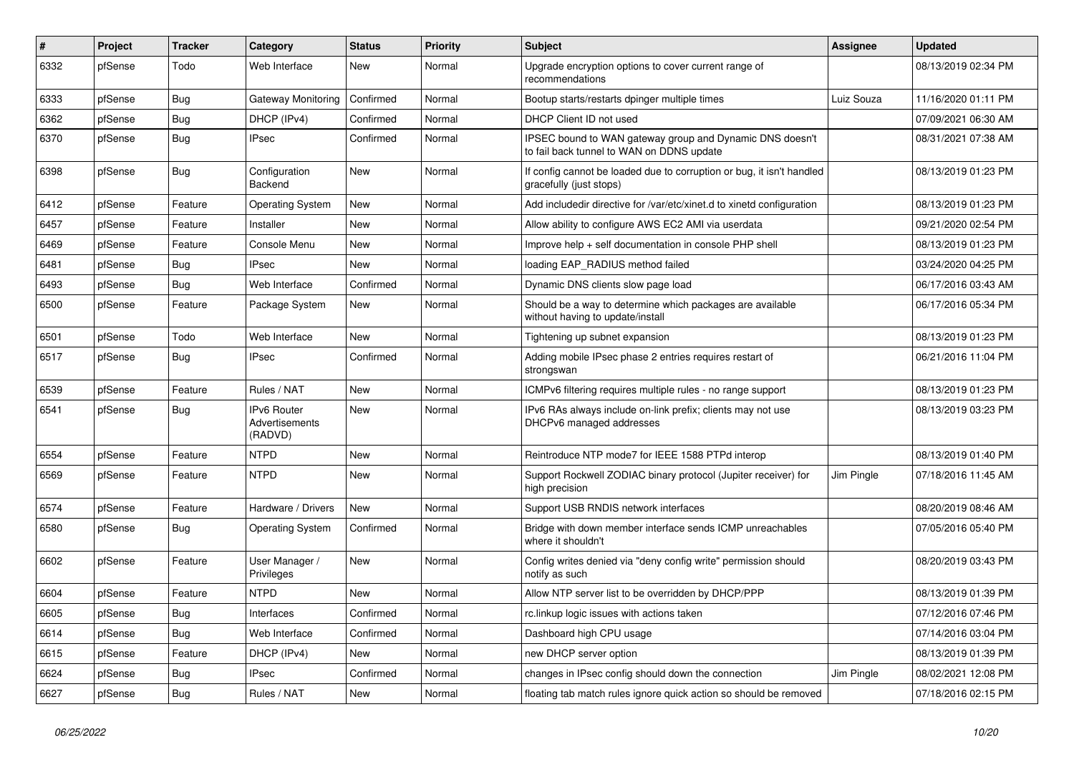| $\pmb{\#}$ | Project | <b>Tracker</b> | Category                                 | <b>Status</b> | <b>Priority</b> | <b>Subject</b>                                                                                        | <b>Assignee</b> | <b>Updated</b>      |
|------------|---------|----------------|------------------------------------------|---------------|-----------------|-------------------------------------------------------------------------------------------------------|-----------------|---------------------|
| 6332       | pfSense | Todo           | Web Interface                            | <b>New</b>    | Normal          | Upgrade encryption options to cover current range of<br>recommendations                               |                 | 08/13/2019 02:34 PM |
| 6333       | pfSense | Bug            | Gateway Monitoring                       | Confirmed     | Normal          | Bootup starts/restarts dpinger multiple times                                                         | Luiz Souza      | 11/16/2020 01:11 PM |
| 6362       | pfSense | Bug            | DHCP (IPv4)                              | Confirmed     | Normal          | DHCP Client ID not used                                                                               |                 | 07/09/2021 06:30 AM |
| 6370       | pfSense | Bug            | <b>IPsec</b>                             | Confirmed     | Normal          | IPSEC bound to WAN gateway group and Dynamic DNS doesn't<br>to fail back tunnel to WAN on DDNS update |                 | 08/31/2021 07:38 AM |
| 6398       | pfSense | Bug            | Configuration<br>Backend                 | <b>New</b>    | Normal          | If config cannot be loaded due to corruption or bug, it isn't handled<br>gracefully (just stops)      |                 | 08/13/2019 01:23 PM |
| 6412       | pfSense | Feature        | <b>Operating System</b>                  | <b>New</b>    | Normal          | Add includedir directive for /var/etc/xinet.d to xinetd configuration                                 |                 | 08/13/2019 01:23 PM |
| 6457       | pfSense | Feature        | Installer                                | New           | Normal          | Allow ability to configure AWS EC2 AMI via userdata                                                   |                 | 09/21/2020 02:54 PM |
| 6469       | pfSense | Feature        | Console Menu                             | New           | Normal          | Improve help + self documentation in console PHP shell                                                |                 | 08/13/2019 01:23 PM |
| 6481       | pfSense | <b>Bug</b>     | <b>IPsec</b>                             | <b>New</b>    | Normal          | loading EAP RADIUS method failed                                                                      |                 | 03/24/2020 04:25 PM |
| 6493       | pfSense | <b>Bug</b>     | Web Interface                            | Confirmed     | Normal          | Dynamic DNS clients slow page load                                                                    |                 | 06/17/2016 03:43 AM |
| 6500       | pfSense | Feature        | Package System                           | New           | Normal          | Should be a way to determine which packages are available<br>without having to update/install         |                 | 06/17/2016 05:34 PM |
| 6501       | pfSense | Todo           | Web Interface                            | <b>New</b>    | Normal          | Tightening up subnet expansion                                                                        |                 | 08/13/2019 01:23 PM |
| 6517       | pfSense | <b>Bug</b>     | <b>IPsec</b>                             | Confirmed     | Normal          | Adding mobile IPsec phase 2 entries requires restart of<br>strongswan                                 |                 | 06/21/2016 11:04 PM |
| 6539       | pfSense | Feature        | Rules / NAT                              | <b>New</b>    | Normal          | ICMPv6 filtering requires multiple rules - no range support                                           |                 | 08/13/2019 01:23 PM |
| 6541       | pfSense | <b>Bug</b>     | IPv6 Router<br>Advertisements<br>(RADVD) | <b>New</b>    | Normal          | IPv6 RAs always include on-link prefix; clients may not use<br>DHCPv6 managed addresses               |                 | 08/13/2019 03:23 PM |
| 6554       | pfSense | Feature        | <b>NTPD</b>                              | <b>New</b>    | Normal          | Reintroduce NTP mode7 for IEEE 1588 PTPd interop                                                      |                 | 08/13/2019 01:40 PM |
| 6569       | pfSense | Feature        | <b>NTPD</b>                              | <b>New</b>    | Normal          | Support Rockwell ZODIAC binary protocol (Jupiter receiver) for<br>high precision                      | Jim Pingle      | 07/18/2016 11:45 AM |
| 6574       | pfSense | Feature        | Hardware / Drivers                       | <b>New</b>    | Normal          | Support USB RNDIS network interfaces                                                                  |                 | 08/20/2019 08:46 AM |
| 6580       | pfSense | Bug            | <b>Operating System</b>                  | Confirmed     | Normal          | Bridge with down member interface sends ICMP unreachables<br>where it shouldn't                       |                 | 07/05/2016 05:40 PM |
| 6602       | pfSense | Feature        | User Manager /<br>Privileges             | <b>New</b>    | Normal          | Config writes denied via "deny config write" permission should<br>notify as such                      |                 | 08/20/2019 03:43 PM |
| 6604       | pfSense | Feature        | <b>NTPD</b>                              | <b>New</b>    | Normal          | Allow NTP server list to be overridden by DHCP/PPP                                                    |                 | 08/13/2019 01:39 PM |
| 6605       | pfSense | Bug            | Interfaces                               | Confirmed     | Normal          | rc.linkup logic issues with actions taken                                                             |                 | 07/12/2016 07:46 PM |
| 6614       | pfSense | Bug            | Web Interface                            | Confirmed     | Normal          | Dashboard high CPU usage                                                                              |                 | 07/14/2016 03:04 PM |
| 6615       | pfSense | Feature        | DHCP (IPv4)                              | New           | Normal          | new DHCP server option                                                                                |                 | 08/13/2019 01:39 PM |
| 6624       | pfSense | <b>Bug</b>     | <b>IPsec</b>                             | Confirmed     | Normal          | changes in IPsec config should down the connection                                                    | Jim Pingle      | 08/02/2021 12:08 PM |
| 6627       | pfSense | <b>Bug</b>     | Rules / NAT                              | <b>New</b>    | Normal          | floating tab match rules ignore quick action so should be removed                                     |                 | 07/18/2016 02:15 PM |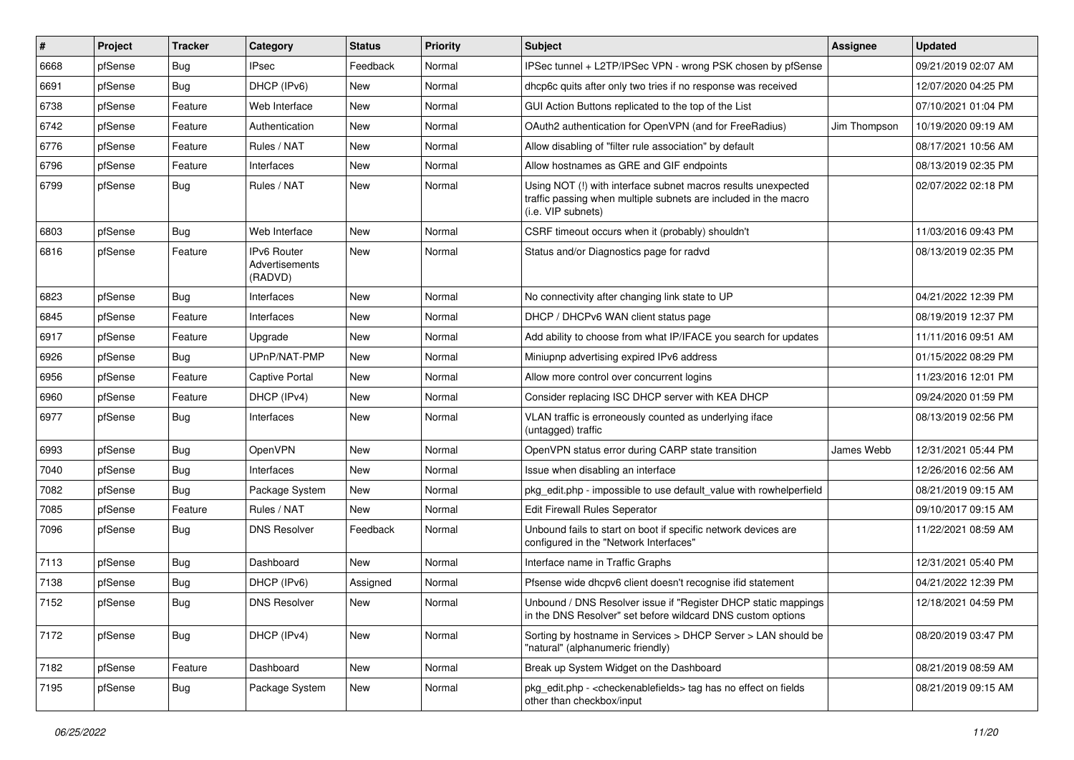| #    | Project | <b>Tracker</b> | Category                                        | <b>Status</b> | <b>Priority</b> | Subject                                                                                                                                                | Assignee     | <b>Updated</b>      |
|------|---------|----------------|-------------------------------------------------|---------------|-----------------|--------------------------------------------------------------------------------------------------------------------------------------------------------|--------------|---------------------|
| 6668 | pfSense | <b>Bug</b>     | <b>IPsec</b>                                    | Feedback      | Normal          | IPSec tunnel + L2TP/IPSec VPN - wrong PSK chosen by pfSense                                                                                            |              | 09/21/2019 02:07 AM |
| 6691 | pfSense | Bug            | DHCP (IPv6)                                     | New           | Normal          | dhcp6c quits after only two tries if no response was received                                                                                          |              | 12/07/2020 04:25 PM |
| 6738 | pfSense | Feature        | Web Interface                                   | New           | Normal          | GUI Action Buttons replicated to the top of the List                                                                                                   |              | 07/10/2021 01:04 PM |
| 6742 | pfSense | Feature        | Authentication                                  | New           | Normal          | OAuth2 authentication for OpenVPN (and for FreeRadius)                                                                                                 | Jim Thompson | 10/19/2020 09:19 AM |
| 6776 | pfSense | Feature        | Rules / NAT                                     | New           | Normal          | Allow disabling of "filter rule association" by default                                                                                                |              | 08/17/2021 10:56 AM |
| 6796 | pfSense | Feature        | Interfaces                                      | New           | Normal          | Allow hostnames as GRE and GIF endpoints                                                                                                               |              | 08/13/2019 02:35 PM |
| 6799 | pfSense | Bug            | Rules / NAT                                     | New           | Normal          | Using NOT (!) with interface subnet macros results unexpected<br>traffic passing when multiple subnets are included in the macro<br>(i.e. VIP subnets) |              | 02/07/2022 02:18 PM |
| 6803 | pfSense | <b>Bug</b>     | Web Interface                                   | New           | Normal          | CSRF timeout occurs when it (probably) shouldn't                                                                                                       |              | 11/03/2016 09:43 PM |
| 6816 | pfSense | Feature        | <b>IPv6 Router</b><br>Advertisements<br>(RADVD) | New           | Normal          | Status and/or Diagnostics page for radvd                                                                                                               |              | 08/13/2019 02:35 PM |
| 6823 | pfSense | <b>Bug</b>     | Interfaces                                      | New           | Normal          | No connectivity after changing link state to UP                                                                                                        |              | 04/21/2022 12:39 PM |
| 6845 | pfSense | Feature        | Interfaces                                      | New           | Normal          | DHCP / DHCPv6 WAN client status page                                                                                                                   |              | 08/19/2019 12:37 PM |
| 6917 | pfSense | Feature        | Upgrade                                         | New           | Normal          | Add ability to choose from what IP/IFACE you search for updates                                                                                        |              | 11/11/2016 09:51 AM |
| 6926 | pfSense | Bug            | UPnP/NAT-PMP                                    | New           | Normal          | Miniupnp advertising expired IPv6 address                                                                                                              |              | 01/15/2022 08:29 PM |
| 6956 | pfSense | Feature        | <b>Captive Portal</b>                           | New           | Normal          | Allow more control over concurrent logins                                                                                                              |              | 11/23/2016 12:01 PM |
| 6960 | pfSense | Feature        | DHCP (IPv4)                                     | New           | Normal          | Consider replacing ISC DHCP server with KEA DHCP                                                                                                       |              | 09/24/2020 01:59 PM |
| 6977 | pfSense | <b>Bug</b>     | Interfaces                                      | New           | Normal          | VLAN traffic is erroneously counted as underlying iface<br>(untagged) traffic                                                                          |              | 08/13/2019 02:56 PM |
| 6993 | pfSense | Bug            | <b>OpenVPN</b>                                  | New           | Normal          | OpenVPN status error during CARP state transition                                                                                                      | James Webb   | 12/31/2021 05:44 PM |
| 7040 | pfSense | <b>Bug</b>     | Interfaces                                      | <b>New</b>    | Normal          | Issue when disabling an interface                                                                                                                      |              | 12/26/2016 02:56 AM |
| 7082 | pfSense | <b>Bug</b>     | Package System                                  | New           | Normal          | pkg_edit.php - impossible to use default_value with rowhelperfield                                                                                     |              | 08/21/2019 09:15 AM |
| 7085 | pfSense | Feature        | Rules / NAT                                     | New           | Normal          | <b>Edit Firewall Rules Seperator</b>                                                                                                                   |              | 09/10/2017 09:15 AM |
| 7096 | pfSense | Bug            | <b>DNS Resolver</b>                             | Feedback      | Normal          | Unbound fails to start on boot if specific network devices are<br>configured in the "Network Interfaces"                                               |              | 11/22/2021 08:59 AM |
| 7113 | pfSense | Bug            | Dashboard                                       | <b>New</b>    | Normal          | Interface name in Traffic Graphs                                                                                                                       |              | 12/31/2021 05:40 PM |
| 7138 | pfSense | <b>Bug</b>     | DHCP (IPv6)                                     | Assigned      | Normal          | Pfsense wide dhcpv6 client doesn't recognise ifid statement                                                                                            |              | 04/21/2022 12:39 PM |
| 7152 | pfSense | Bug            | <b>DNS Resolver</b>                             | New           | Normal          | Unbound / DNS Resolver issue if "Register DHCP static mappings<br>in the DNS Resolver" set before wildcard DNS custom options                          |              | 12/18/2021 04:59 PM |
| 7172 | pfSense | <b>Bug</b>     | DHCP (IPv4)                                     | New           | Normal          | Sorting by hostname in Services > DHCP Server > LAN should be<br>"natural" (alphanumeric friendly)                                                     |              | 08/20/2019 03:47 PM |
| 7182 | pfSense | Feature        | Dashboard                                       | New           | Normal          | Break up System Widget on the Dashboard                                                                                                                |              | 08/21/2019 08:59 AM |
| 7195 | pfSense | <b>Bug</b>     | Package System                                  | New           | Normal          | pkg_edit.php - <checkenablefields> tag has no effect on fields<br/>other than checkbox/input</checkenablefields>                                       |              | 08/21/2019 09:15 AM |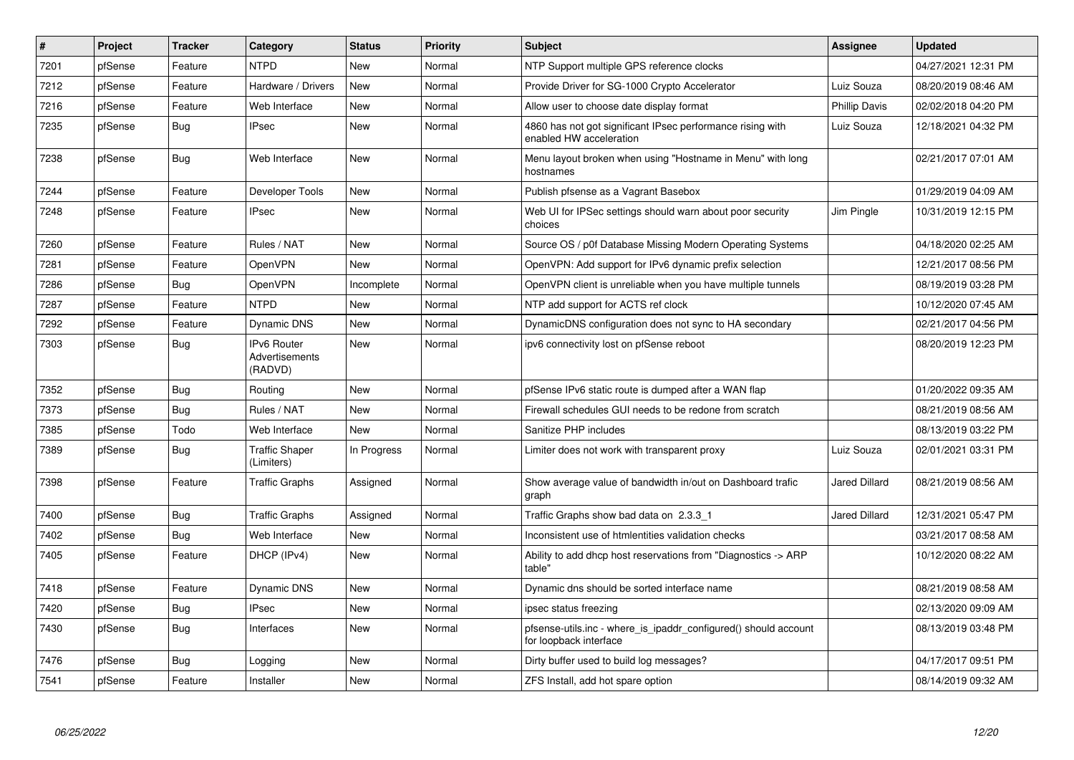| #    | Project | <b>Tracker</b> | Category                                 | <b>Status</b> | <b>Priority</b> | <b>Subject</b>                                                                            | <b>Assignee</b> | <b>Updated</b>      |
|------|---------|----------------|------------------------------------------|---------------|-----------------|-------------------------------------------------------------------------------------------|-----------------|---------------------|
| 7201 | pfSense | Feature        | <b>NTPD</b>                              | <b>New</b>    | Normal          | NTP Support multiple GPS reference clocks                                                 |                 | 04/27/2021 12:31 PM |
| 7212 | pfSense | Feature        | Hardware / Drivers                       | <b>New</b>    | Normal          | Provide Driver for SG-1000 Crypto Accelerator                                             | Luiz Souza      | 08/20/2019 08:46 AM |
| 7216 | pfSense | Feature        | Web Interface                            | New           | Normal          | Allow user to choose date display format                                                  | Phillip Davis   | 02/02/2018 04:20 PM |
| 7235 | pfSense | Bug            | <b>IPsec</b>                             | <b>New</b>    | Normal          | 4860 has not got significant IPsec performance rising with<br>enabled HW acceleration     | Luiz Souza      | 12/18/2021 04:32 PM |
| 7238 | pfSense | Bug            | Web Interface                            | New           | Normal          | Menu layout broken when using "Hostname in Menu" with long<br>hostnames                   |                 | 02/21/2017 07:01 AM |
| 7244 | pfSense | Feature        | Developer Tools                          | <b>New</b>    | Normal          | Publish pfsense as a Vagrant Basebox                                                      |                 | 01/29/2019 04:09 AM |
| 7248 | pfSense | Feature        | <b>IPsec</b>                             | New           | Normal          | Web UI for IPSec settings should warn about poor security<br>choices                      | Jim Pingle      | 10/31/2019 12:15 PM |
| 7260 | pfSense | Feature        | Rules / NAT                              | <b>New</b>    | Normal          | Source OS / p0f Database Missing Modern Operating Systems                                 |                 | 04/18/2020 02:25 AM |
| 7281 | pfSense | Feature        | OpenVPN                                  | <b>New</b>    | Normal          | OpenVPN: Add support for IPv6 dynamic prefix selection                                    |                 | 12/21/2017 08:56 PM |
| 7286 | pfSense | <b>Bug</b>     | OpenVPN                                  | Incomplete    | Normal          | OpenVPN client is unreliable when you have multiple tunnels                               |                 | 08/19/2019 03:28 PM |
| 7287 | pfSense | Feature        | <b>NTPD</b>                              | New           | Normal          | NTP add support for ACTS ref clock                                                        |                 | 10/12/2020 07:45 AM |
| 7292 | pfSense | Feature        | Dynamic DNS                              | New           | Normal          | DynamicDNS configuration does not sync to HA secondary                                    |                 | 02/21/2017 04:56 PM |
| 7303 | pfSense | <b>Bug</b>     | IPv6 Router<br>Advertisements<br>(RADVD) | New           | Normal          | ipv6 connectivity lost on pfSense reboot                                                  |                 | 08/20/2019 12:23 PM |
| 7352 | pfSense | Bug            | Routing                                  | New           | Normal          | pfSense IPv6 static route is dumped after a WAN flap                                      |                 | 01/20/2022 09:35 AM |
| 7373 | pfSense | <b>Bug</b>     | Rules / NAT                              | New           | Normal          | Firewall schedules GUI needs to be redone from scratch                                    |                 | 08/21/2019 08:56 AM |
| 7385 | pfSense | Todo           | Web Interface                            | New           | Normal          | Sanitize PHP includes                                                                     |                 | 08/13/2019 03:22 PM |
| 7389 | pfSense | Bug            | <b>Traffic Shaper</b><br>(Limiters)      | In Progress   | Normal          | Limiter does not work with transparent proxy                                              | Luiz Souza      | 02/01/2021 03:31 PM |
| 7398 | pfSense | Feature        | <b>Traffic Graphs</b>                    | Assigned      | Normal          | Show average value of bandwidth in/out on Dashboard trafic<br>graph                       | Jared Dillard   | 08/21/2019 08:56 AM |
| 7400 | pfSense | <b>Bug</b>     | <b>Traffic Graphs</b>                    | Assigned      | Normal          | Traffic Graphs show bad data on 2.3.3 1                                                   | Jared Dillard   | 12/31/2021 05:47 PM |
| 7402 | pfSense | Bug            | Web Interface                            | New           | Normal          | Inconsistent use of htmlentities validation checks                                        |                 | 03/21/2017 08:58 AM |
| 7405 | pfSense | Feature        | DHCP (IPv4)                              | <b>New</b>    | Normal          | Ability to add dhcp host reservations from "Diagnostics -> ARP<br>table"                  |                 | 10/12/2020 08:22 AM |
| 7418 | pfSense | Feature        | <b>Dynamic DNS</b>                       | <b>New</b>    | Normal          | Dynamic dns should be sorted interface name                                               |                 | 08/21/2019 08:58 AM |
| 7420 | pfSense | <b>Bug</b>     | <b>IPsec</b>                             | New           | Normal          | ipsec status freezing                                                                     |                 | 02/13/2020 09:09 AM |
| 7430 | pfSense | Bug            | Interfaces                               | <b>New</b>    | Normal          | pfsense-utils.inc - where is ipaddr configured() should account<br>for loopback interface |                 | 08/13/2019 03:48 PM |
| 7476 | pfSense | Bug            | Logging                                  | New           | Normal          | Dirty buffer used to build log messages?                                                  |                 | 04/17/2017 09:51 PM |
| 7541 | pfSense | Feature        | Installer                                | <b>New</b>    | Normal          | ZFS Install, add hot spare option                                                         |                 | 08/14/2019 09:32 AM |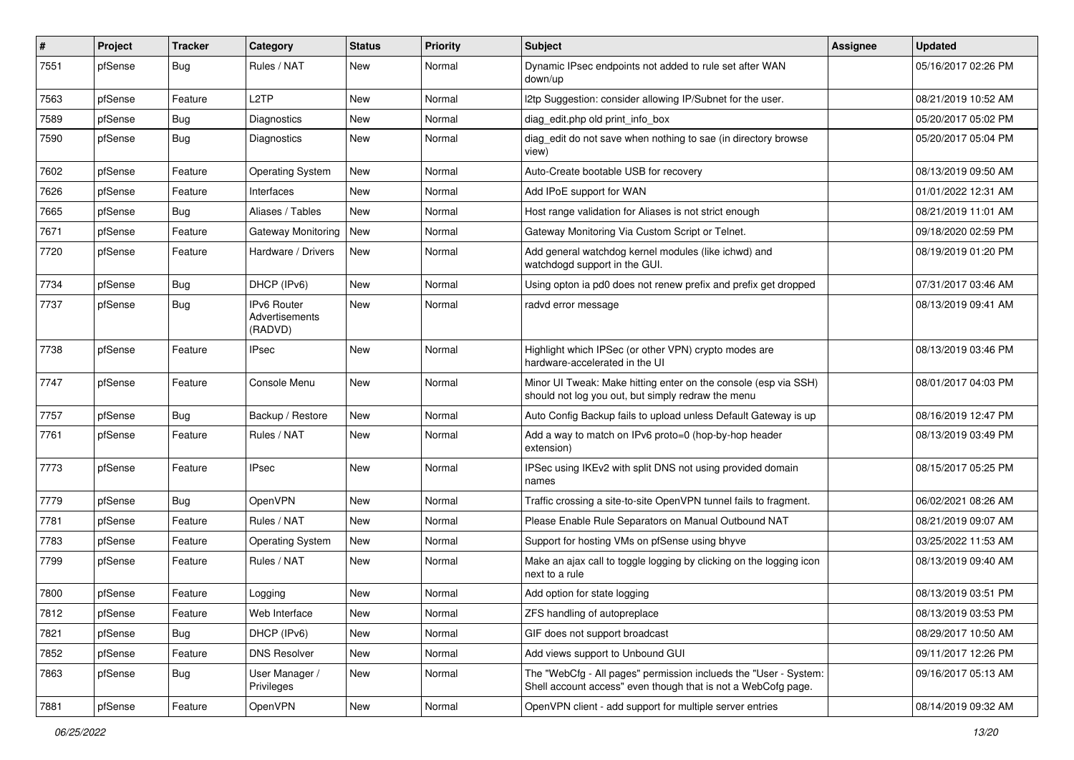| $\vert$ # | Project | <b>Tracker</b> | Category                                 | <b>Status</b> | Priority | Subject                                                                                                                           | <b>Assignee</b> | <b>Updated</b>      |
|-----------|---------|----------------|------------------------------------------|---------------|----------|-----------------------------------------------------------------------------------------------------------------------------------|-----------------|---------------------|
| 7551      | pfSense | <b>Bug</b>     | Rules / NAT                              | New           | Normal   | Dynamic IPsec endpoints not added to rule set after WAN<br>down/up                                                                |                 | 05/16/2017 02:26 PM |
| 7563      | pfSense | Feature        | L <sub>2</sub> TP                        | New           | Normal   | I2tp Suggestion: consider allowing IP/Subnet for the user.                                                                        |                 | 08/21/2019 10:52 AM |
| 7589      | pfSense | Bug            | Diagnostics                              | New           | Normal   | diag_edit.php old print_info_box                                                                                                  |                 | 05/20/2017 05:02 PM |
| 7590      | pfSense | Bug            | Diagnostics                              | New           | Normal   | diag_edit do not save when nothing to sae (in directory browse<br>view)                                                           |                 | 05/20/2017 05:04 PM |
| 7602      | pfSense | Feature        | <b>Operating System</b>                  | <b>New</b>    | Normal   | Auto-Create bootable USB for recovery                                                                                             |                 | 08/13/2019 09:50 AM |
| 7626      | pfSense | Feature        | Interfaces                               | <b>New</b>    | Normal   | Add IPoE support for WAN                                                                                                          |                 | 01/01/2022 12:31 AM |
| 7665      | pfSense | <b>Bug</b>     | Aliases / Tables                         | New           | Normal   | Host range validation for Aliases is not strict enough                                                                            |                 | 08/21/2019 11:01 AM |
| 7671      | pfSense | Feature        | Gateway Monitoring                       | New           | Normal   | Gateway Monitoring Via Custom Script or Telnet.                                                                                   |                 | 09/18/2020 02:59 PM |
| 7720      | pfSense | Feature        | Hardware / Drivers                       | New           | Normal   | Add general watchdog kernel modules (like ichwd) and<br>watchdogd support in the GUI.                                             |                 | 08/19/2019 01:20 PM |
| 7734      | pfSense | Bug            | DHCP (IPv6)                              | <b>New</b>    | Normal   | Using opton ia pd0 does not renew prefix and prefix get dropped                                                                   |                 | 07/31/2017 03:46 AM |
| 7737      | pfSense | Bug            | IPv6 Router<br>Advertisements<br>(RADVD) | New           | Normal   | radvd error message                                                                                                               |                 | 08/13/2019 09:41 AM |
| 7738      | pfSense | Feature        | <b>IPsec</b>                             | <b>New</b>    | Normal   | Highlight which IPSec (or other VPN) crypto modes are<br>hardware-accelerated in the UI                                           |                 | 08/13/2019 03:46 PM |
| 7747      | pfSense | Feature        | Console Menu                             | <b>New</b>    | Normal   | Minor UI Tweak: Make hitting enter on the console (esp via SSH)<br>should not log you out, but simply redraw the menu             |                 | 08/01/2017 04:03 PM |
| 7757      | pfSense | Bug            | Backup / Restore                         | <b>New</b>    | Normal   | Auto Config Backup fails to upload unless Default Gateway is up                                                                   |                 | 08/16/2019 12:47 PM |
| 7761      | pfSense | Feature        | Rules / NAT                              | New           | Normal   | Add a way to match on IPv6 proto=0 (hop-by-hop header<br>extension)                                                               |                 | 08/13/2019 03:49 PM |
| 7773      | pfSense | Feature        | <b>IPsec</b>                             | <b>New</b>    | Normal   | IPSec using IKEv2 with split DNS not using provided domain<br>names                                                               |                 | 08/15/2017 05:25 PM |
| 7779      | pfSense | Bug            | OpenVPN                                  | New           | Normal   | Traffic crossing a site-to-site OpenVPN tunnel fails to fragment.                                                                 |                 | 06/02/2021 08:26 AM |
| 7781      | pfSense | Feature        | Rules / NAT                              | <b>New</b>    | Normal   | Please Enable Rule Separators on Manual Outbound NAT                                                                              |                 | 08/21/2019 09:07 AM |
| 7783      | pfSense | Feature        | <b>Operating System</b>                  | New           | Normal   | Support for hosting VMs on pfSense using bhyve                                                                                    |                 | 03/25/2022 11:53 AM |
| 7799      | pfSense | Feature        | Rules / NAT                              | New           | Normal   | Make an ajax call to toggle logging by clicking on the logging icon<br>next to a rule                                             |                 | 08/13/2019 09:40 AM |
| 7800      | pfSense | Feature        | Logging                                  | New           | Normal   | Add option for state logging                                                                                                      |                 | 08/13/2019 03:51 PM |
| 7812      | pfSense | Feature        | Web Interface                            | New           | Normal   | ZFS handling of autopreplace                                                                                                      |                 | 08/13/2019 03:53 PM |
| 7821      | pfSense | Bug            | DHCP (IPv6)                              | New           | Normal   | GIF does not support broadcast                                                                                                    |                 | 08/29/2017 10:50 AM |
| 7852      | pfSense | Feature        | <b>DNS Resolver</b>                      | New           | Normal   | Add views support to Unbound GUI                                                                                                  |                 | 09/11/2017 12:26 PM |
| 7863      | pfSense | <b>Bug</b>     | User Manager /<br>Privileges             | New           | Normal   | The "WebCfg - All pages" permission inclueds the "User - System:<br>Shell account access" even though that is not a WebCofg page. |                 | 09/16/2017 05:13 AM |
| 7881      | pfSense | Feature        | OpenVPN                                  | New           | Normal   | OpenVPN client - add support for multiple server entries                                                                          |                 | 08/14/2019 09:32 AM |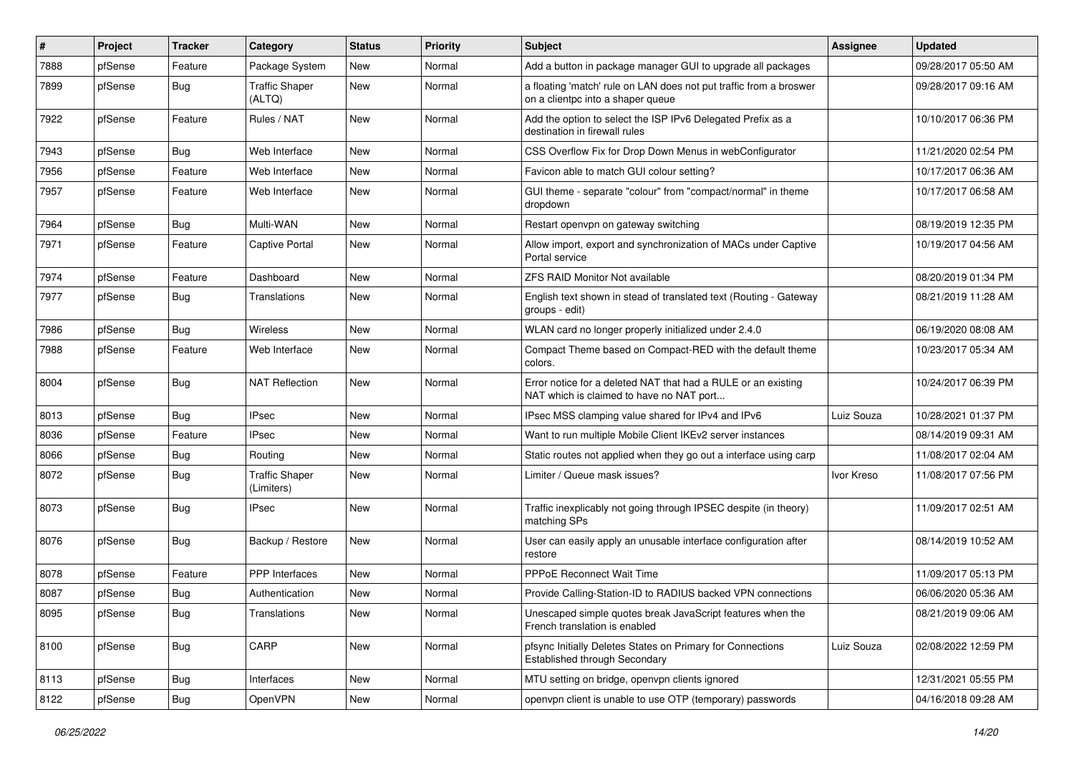| #    | Project | <b>Tracker</b> | Category                            | <b>Status</b> | <b>Priority</b> | <b>Subject</b>                                                                                            | Assignee   | <b>Updated</b>      |
|------|---------|----------------|-------------------------------------|---------------|-----------------|-----------------------------------------------------------------------------------------------------------|------------|---------------------|
| 7888 | pfSense | Feature        | Package System                      | New           | Normal          | Add a button in package manager GUI to upgrade all packages                                               |            | 09/28/2017 05:50 AM |
| 7899 | pfSense | Bug            | <b>Traffic Shaper</b><br>(ALTQ)     | New           | Normal          | a floating 'match' rule on LAN does not put traffic from a broswer<br>on a clientoc into a shaper queue   |            | 09/28/2017 09:16 AM |
| 7922 | pfSense | Feature        | Rules / NAT                         | <b>New</b>    | Normal          | Add the option to select the ISP IPv6 Delegated Prefix as a<br>destination in firewall rules              |            | 10/10/2017 06:36 PM |
| 7943 | pfSense | Bug            | Web Interface                       | New           | Normal          | CSS Overflow Fix for Drop Down Menus in webConfigurator                                                   |            | 11/21/2020 02:54 PM |
| 7956 | pfSense | Feature        | Web Interface                       | New           | Normal          | Favicon able to match GUI colour setting?                                                                 |            | 10/17/2017 06:36 AM |
| 7957 | pfSense | Feature        | Web Interface                       | <b>New</b>    | Normal          | GUI theme - separate "colour" from "compact/normal" in theme<br>dropdown                                  |            | 10/17/2017 06:58 AM |
| 7964 | pfSense | Bug            | Multi-WAN                           | <b>New</b>    | Normal          | Restart openvpn on gateway switching                                                                      |            | 08/19/2019 12:35 PM |
| 7971 | pfSense | Feature        | <b>Captive Portal</b>               | New           | Normal          | Allow import, export and synchronization of MACs under Captive<br>Portal service                          |            | 10/19/2017 04:56 AM |
| 7974 | pfSense | Feature        | Dashboard                           | <b>New</b>    | Normal          | <b>ZFS RAID Monitor Not available</b>                                                                     |            | 08/20/2019 01:34 PM |
| 7977 | pfSense | <b>Bug</b>     | Translations                        | New           | Normal          | English text shown in stead of translated text (Routing - Gateway<br>groups - edit)                       |            | 08/21/2019 11:28 AM |
| 7986 | pfSense | Bug            | Wireless                            | <b>New</b>    | Normal          | WLAN card no longer properly initialized under 2.4.0                                                      |            | 06/19/2020 08:08 AM |
| 7988 | pfSense | Feature        | Web Interface                       | New           | Normal          | Compact Theme based on Compact-RED with the default theme<br>colors.                                      |            | 10/23/2017 05:34 AM |
| 8004 | pfSense | <b>Bug</b>     | <b>NAT Reflection</b>               | <b>New</b>    | Normal          | Error notice for a deleted NAT that had a RULE or an existing<br>NAT which is claimed to have no NAT port |            | 10/24/2017 06:39 PM |
| 8013 | pfSense | Bug            | <b>IPsec</b>                        | <b>New</b>    | Normal          | IPsec MSS clamping value shared for IPv4 and IPv6                                                         | Luiz Souza | 10/28/2021 01:37 PM |
| 8036 | pfSense | Feature        | <b>IPsec</b>                        | New           | Normal          | Want to run multiple Mobile Client IKEv2 server instances                                                 |            | 08/14/2019 09:31 AM |
| 8066 | pfSense | Bug            | Routing                             | <b>New</b>    | Normal          | Static routes not applied when they go out a interface using carp                                         |            | 11/08/2017 02:04 AM |
| 8072 | pfSense | <b>Bug</b>     | <b>Traffic Shaper</b><br>(Limiters) | <b>New</b>    | Normal          | Limiter / Queue mask issues?                                                                              | Ivor Kreso | 11/08/2017 07:56 PM |
| 8073 | pfSense | <b>Bug</b>     | IPsec                               | <b>New</b>    | Normal          | Traffic inexplicably not going through IPSEC despite (in theory)<br>matching SPs                          |            | 11/09/2017 02:51 AM |
| 8076 | pfSense | <b>Bug</b>     | Backup / Restore                    | New           | Normal          | User can easily apply an unusable interface configuration after<br>restore                                |            | 08/14/2019 10:52 AM |
| 8078 | pfSense | Feature        | <b>PPP</b> Interfaces               | <b>New</b>    | Normal          | <b>PPPoE Reconnect Wait Time</b>                                                                          |            | 11/09/2017 05:13 PM |
| 8087 | pfSense | <b>Bug</b>     | Authentication                      | New           | Normal          | Provide Calling-Station-ID to RADIUS backed VPN connections                                               |            | 06/06/2020 05:36 AM |
| 8095 | pfSense | <b>Bug</b>     | Translations                        | New           | Normal          | Unescaped simple quotes break JavaScript features when the<br>French translation is enabled               |            | 08/21/2019 09:06 AM |
| 8100 | pfSense | <b>Bug</b>     | CARP                                | New           | Normal          | pfsync Initially Deletes States on Primary for Connections<br>Established through Secondary               | Luiz Souza | 02/08/2022 12:59 PM |
| 8113 | pfSense | Bug            | Interfaces                          | New           | Normal          | MTU setting on bridge, openvpn clients ignored                                                            |            | 12/31/2021 05:55 PM |
| 8122 | pfSense | Bug            | OpenVPN                             | New           | Normal          | openvpn client is unable to use OTP (temporary) passwords                                                 |            | 04/16/2018 09:28 AM |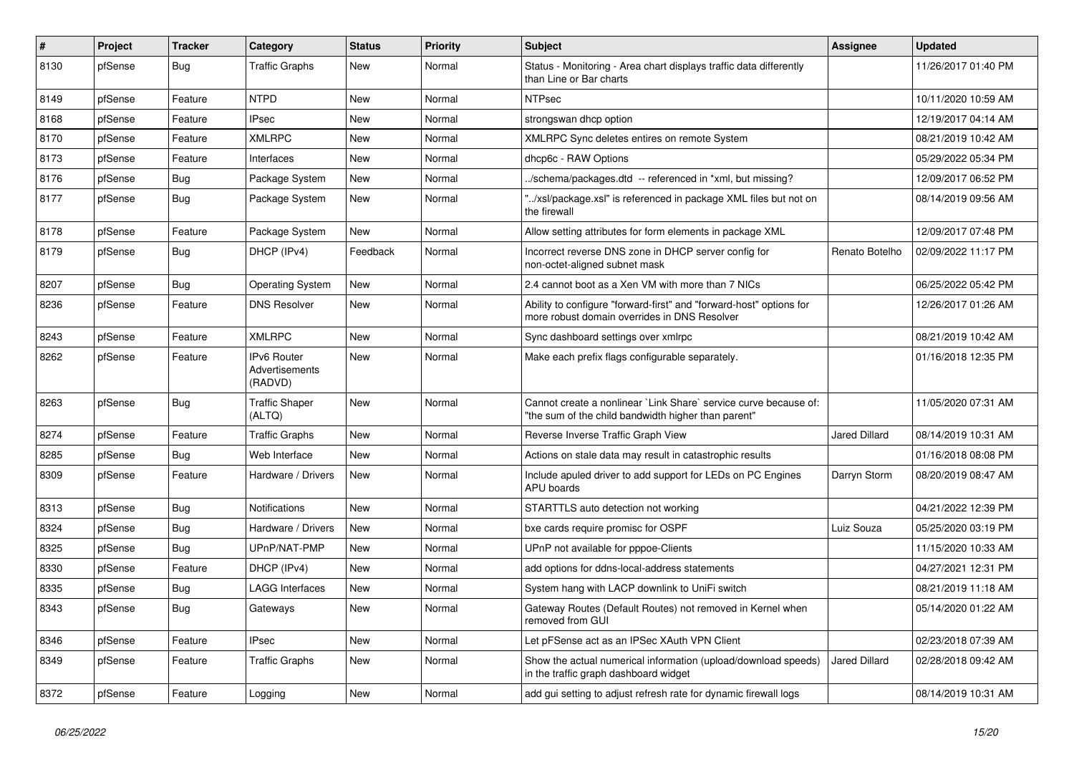| #    | Project | <b>Tracker</b> | Category                                 | <b>Status</b> | Priority | Subject                                                                                                                 | <b>Assignee</b>      | <b>Updated</b>      |
|------|---------|----------------|------------------------------------------|---------------|----------|-------------------------------------------------------------------------------------------------------------------------|----------------------|---------------------|
| 8130 | pfSense | <b>Bug</b>     | <b>Traffic Graphs</b>                    | New           | Normal   | Status - Monitoring - Area chart displays traffic data differently<br>than Line or Bar charts                           |                      | 11/26/2017 01:40 PM |
| 8149 | pfSense | Feature        | <b>NTPD</b>                              | New           | Normal   | <b>NTPsec</b>                                                                                                           |                      | 10/11/2020 10:59 AM |
| 8168 | pfSense | Feature        | <b>IPsec</b>                             | New           | Normal   | strongswan dhcp option                                                                                                  |                      | 12/19/2017 04:14 AM |
| 8170 | pfSense | Feature        | <b>XMLRPC</b>                            | <b>New</b>    | Normal   | XMLRPC Sync deletes entires on remote System                                                                            |                      | 08/21/2019 10:42 AM |
| 8173 | pfSense | Feature        | Interfaces                               | New           | Normal   | dhcp6c - RAW Options                                                                                                    |                      | 05/29/2022 05:34 PM |
| 8176 | pfSense | Bug            | Package System                           | New           | Normal   | ./schema/packages.dtd -- referenced in *xml, but missing?                                                               |                      | 12/09/2017 06:52 PM |
| 8177 | pfSense | Bug            | Package System                           | New           | Normal   | '/xsl/package.xsl" is referenced in package XML files but not on<br>the firewall                                        |                      | 08/14/2019 09:56 AM |
| 8178 | pfSense | Feature        | Package System                           | New           | Normal   | Allow setting attributes for form elements in package XML                                                               |                      | 12/09/2017 07:48 PM |
| 8179 | pfSense | Bug            | DHCP (IPv4)                              | Feedback      | Normal   | Incorrect reverse DNS zone in DHCP server config for<br>non-octet-aligned subnet mask                                   | Renato Botelho       | 02/09/2022 11:17 PM |
| 8207 | pfSense | Bug            | <b>Operating System</b>                  | New           | Normal   | 2.4 cannot boot as a Xen VM with more than 7 NICs                                                                       |                      | 06/25/2022 05:42 PM |
| 8236 | pfSense | Feature        | <b>DNS Resolver</b>                      | New           | Normal   | Ability to configure "forward-first" and "forward-host" options for<br>more robust domain overrides in DNS Resolver     |                      | 12/26/2017 01:26 AM |
| 8243 | pfSense | Feature        | <b>XMLRPC</b>                            | <b>New</b>    | Normal   | Sync dashboard settings over xmlrpc                                                                                     |                      | 08/21/2019 10:42 AM |
| 8262 | pfSense | Feature        | IPv6 Router<br>Advertisements<br>(RADVD) | <b>New</b>    | Normal   | Make each prefix flags configurable separately.                                                                         |                      | 01/16/2018 12:35 PM |
| 8263 | pfSense | Bug            | <b>Traffic Shaper</b><br>(ALTQ)          | New           | Normal   | Cannot create a nonlinear `Link Share` service curve because of:<br>"the sum of the child bandwidth higher than parent" |                      | 11/05/2020 07:31 AM |
| 8274 | pfSense | Feature        | <b>Traffic Graphs</b>                    | New           | Normal   | Reverse Inverse Traffic Graph View                                                                                      | Jared Dillard        | 08/14/2019 10:31 AM |
| 8285 | pfSense | Bug            | Web Interface                            | <b>New</b>    | Normal   | Actions on stale data may result in catastrophic results                                                                |                      | 01/16/2018 08:08 PM |
| 8309 | pfSense | Feature        | Hardware / Drivers                       | New           | Normal   | Include apuled driver to add support for LEDs on PC Engines<br>APU boards                                               | Darryn Storm         | 08/20/2019 08:47 AM |
| 8313 | pfSense | Bug            | <b>Notifications</b>                     | <b>New</b>    | Normal   | STARTTLS auto detection not working                                                                                     |                      | 04/21/2022 12:39 PM |
| 8324 | pfSense | Bug            | Hardware / Drivers                       | <b>New</b>    | Normal   | bxe cards require promisc for OSPF                                                                                      | Luiz Souza           | 05/25/2020 03:19 PM |
| 8325 | pfSense | Bug            | UPnP/NAT-PMP                             | New           | Normal   | UPnP not available for pppoe-Clients                                                                                    |                      | 11/15/2020 10:33 AM |
| 8330 | pfSense | Feature        | DHCP (IPv4)                              | <b>New</b>    | Normal   | add options for ddns-local-address statements                                                                           |                      | 04/27/2021 12:31 PM |
| 8335 | pfSense | Bug            | <b>LAGG Interfaces</b>                   | New           | Normal   | System hang with LACP downlink to UniFi switch                                                                          |                      | 08/21/2019 11:18 AM |
| 8343 | pfSense | Bug            | Gateways                                 | New           | Normal   | Gateway Routes (Default Routes) not removed in Kernel when<br>removed from GUI                                          |                      | 05/14/2020 01:22 AM |
| 8346 | pfSense | Feature        | <b>IPsec</b>                             | New           | Normal   | Let pFSense act as an IPSec XAuth VPN Client                                                                            |                      | 02/23/2018 07:39 AM |
| 8349 | pfSense | Feature        | <b>Traffic Graphs</b>                    | New           | Normal   | Show the actual numerical information (upload/download speeds)<br>in the traffic graph dashboard widget                 | <b>Jared Dillard</b> | 02/28/2018 09:42 AM |
| 8372 | pfSense | Feature        | Logging                                  | New           | Normal   | add gui setting to adjust refresh rate for dynamic firewall logs                                                        |                      | 08/14/2019 10:31 AM |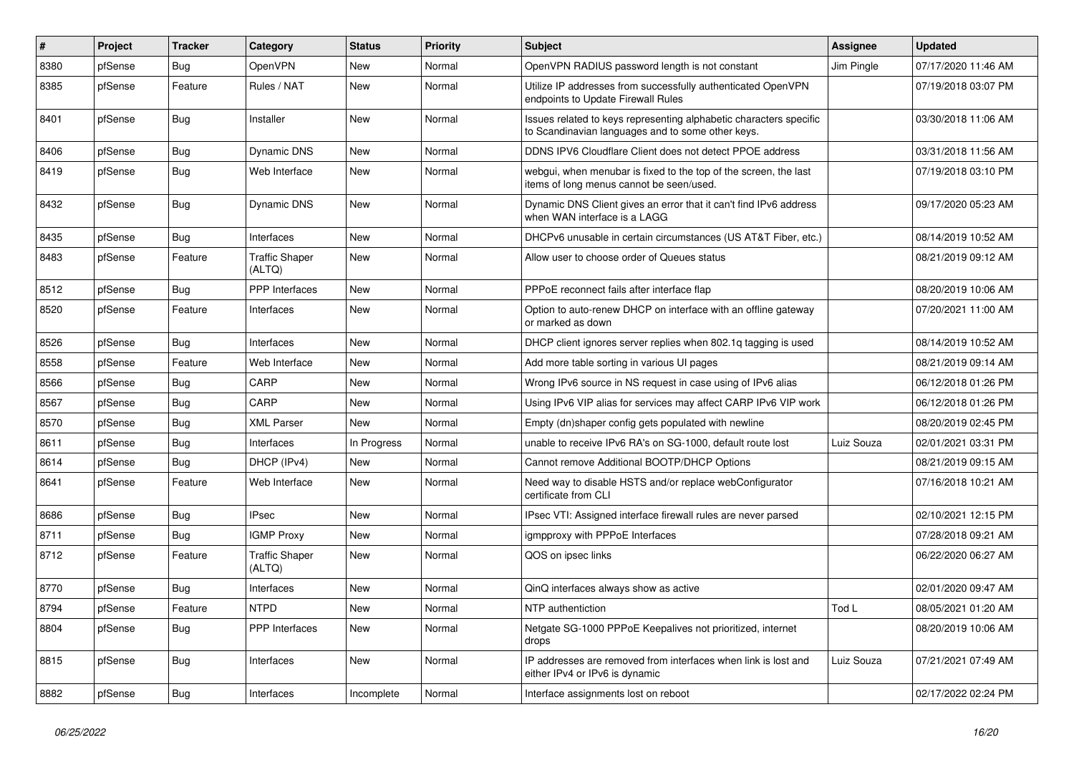| #    | Project | <b>Tracker</b> | Category                        | <b>Status</b> | Priority | Subject                                                                                                                 | <b>Assignee</b> | <b>Updated</b>      |
|------|---------|----------------|---------------------------------|---------------|----------|-------------------------------------------------------------------------------------------------------------------------|-----------------|---------------------|
| 8380 | pfSense | Bug            | OpenVPN                         | New           | Normal   | OpenVPN RADIUS password length is not constant                                                                          | Jim Pingle      | 07/17/2020 11:46 AM |
| 8385 | pfSense | Feature        | Rules / NAT                     | New           | Normal   | Utilize IP addresses from successfully authenticated OpenVPN<br>endpoints to Update Firewall Rules                      |                 | 07/19/2018 03:07 PM |
| 8401 | pfSense | Bug            | Installer                       | New           | Normal   | Issues related to keys representing alphabetic characters specific<br>to Scandinavian languages and to some other keys. |                 | 03/30/2018 11:06 AM |
| 8406 | pfSense | Bug            | Dynamic DNS                     | New           | Normal   | DDNS IPV6 Cloudflare Client does not detect PPOE address                                                                |                 | 03/31/2018 11:56 AM |
| 8419 | pfSense | Bug            | Web Interface                   | New           | Normal   | webgui, when menubar is fixed to the top of the screen, the last<br>items of long menus cannot be seen/used.            |                 | 07/19/2018 03:10 PM |
| 8432 | pfSense | Bug            | Dynamic DNS                     | New           | Normal   | Dynamic DNS Client gives an error that it can't find IPv6 address<br>when WAN interface is a LAGG                       |                 | 09/17/2020 05:23 AM |
| 8435 | pfSense | <b>Bug</b>     | Interfaces                      | New           | Normal   | DHCPv6 unusable in certain circumstances (US AT&T Fiber, etc.)                                                          |                 | 08/14/2019 10:52 AM |
| 8483 | pfSense | Feature        | <b>Traffic Shaper</b><br>(ALTQ) | New           | Normal   | Allow user to choose order of Queues status                                                                             |                 | 08/21/2019 09:12 AM |
| 8512 | pfSense | <b>Bug</b>     | <b>PPP</b> Interfaces           | New           | Normal   | PPPoE reconnect fails after interface flap                                                                              |                 | 08/20/2019 10:06 AM |
| 8520 | pfSense | Feature        | Interfaces                      | New           | Normal   | Option to auto-renew DHCP on interface with an offline gateway<br>or marked as down                                     |                 | 07/20/2021 11:00 AM |
| 8526 | pfSense | Bug            | Interfaces                      | New           | Normal   | DHCP client ignores server replies when 802.1q tagging is used                                                          |                 | 08/14/2019 10:52 AM |
| 8558 | pfSense | Feature        | Web Interface                   | New           | Normal   | Add more table sorting in various UI pages                                                                              |                 | 08/21/2019 09:14 AM |
| 8566 | pfSense | <b>Bug</b>     | CARP                            | New           | Normal   | Wrong IPv6 source in NS request in case using of IPv6 alias                                                             |                 | 06/12/2018 01:26 PM |
| 8567 | pfSense | Bug            | CARP                            | New           | Normal   | Using IPv6 VIP alias for services may affect CARP IPv6 VIP work                                                         |                 | 06/12/2018 01:26 PM |
| 8570 | pfSense | Bug            | <b>XML Parser</b>               | New           | Normal   | Empty (dn)shaper config gets populated with newline                                                                     |                 | 08/20/2019 02:45 PM |
| 8611 | pfSense | <b>Bug</b>     | Interfaces                      | In Progress   | Normal   | unable to receive IPv6 RA's on SG-1000, default route lost                                                              | Luiz Souza      | 02/01/2021 03:31 PM |
| 8614 | pfSense | Bug            | DHCP (IPv4)                     | New           | Normal   | Cannot remove Additional BOOTP/DHCP Options                                                                             |                 | 08/21/2019 09:15 AM |
| 8641 | pfSense | Feature        | Web Interface                   | New           | Normal   | Need way to disable HSTS and/or replace webConfigurator<br>certificate from CLI                                         |                 | 07/16/2018 10:21 AM |
| 8686 | pfSense | Bug            | <b>IPsec</b>                    | New           | Normal   | IPsec VTI: Assigned interface firewall rules are never parsed                                                           |                 | 02/10/2021 12:15 PM |
| 8711 | pfSense | <b>Bug</b>     | <b>IGMP Proxy</b>               | New           | Normal   | igmpproxy with PPPoE Interfaces                                                                                         |                 | 07/28/2018 09:21 AM |
| 8712 | pfSense | Feature        | <b>Traffic Shaper</b><br>(ALTQ) | New           | Normal   | QOS on ipsec links                                                                                                      |                 | 06/22/2020 06:27 AM |
| 8770 | pfSense | <b>Bug</b>     | Interfaces                      | New           | Normal   | QinQ interfaces always show as active                                                                                   |                 | 02/01/2020 09:47 AM |
| 8794 | pfSense | Feature        | <b>NTPD</b>                     | New           | Normal   | NTP authentiction                                                                                                       | Tod L           | 08/05/2021 01:20 AM |
| 8804 | pfSense | Bug            | <b>PPP</b> Interfaces           | New           | Normal   | Netgate SG-1000 PPPoE Keepalives not prioritized, internet<br>drops                                                     |                 | 08/20/2019 10:06 AM |
| 8815 | pfSense | Bug            | Interfaces                      | New           | Normal   | IP addresses are removed from interfaces when link is lost and<br>either IPv4 or IPv6 is dynamic                        | Luiz Souza      | 07/21/2021 07:49 AM |
| 8882 | pfSense | Bug            | Interfaces                      | Incomplete    | Normal   | Interface assignments lost on reboot                                                                                    |                 | 02/17/2022 02:24 PM |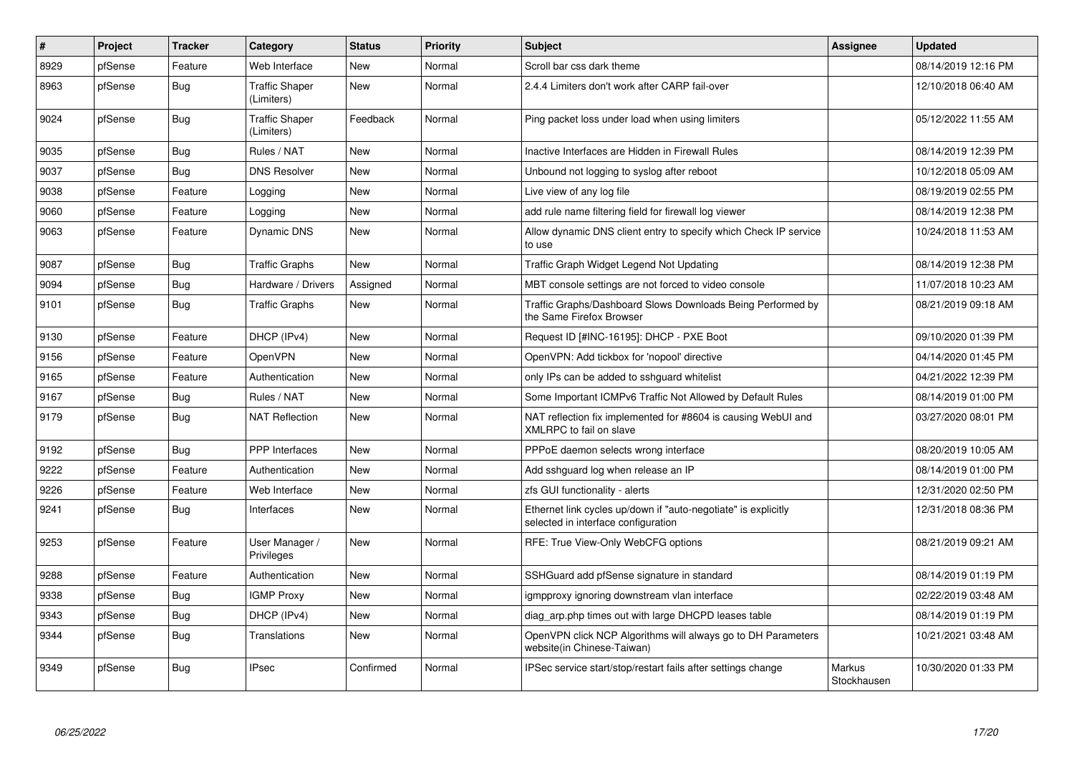| $\vert$ # | Project | <b>Tracker</b> | Category                            | <b>Status</b> | <b>Priority</b> | <b>Subject</b>                                                                                        | <b>Assignee</b>       | <b>Updated</b>      |
|-----------|---------|----------------|-------------------------------------|---------------|-----------------|-------------------------------------------------------------------------------------------------------|-----------------------|---------------------|
| 8929      | pfSense | Feature        | Web Interface                       | <b>New</b>    | Normal          | Scroll bar css dark theme                                                                             |                       | 08/14/2019 12:16 PM |
| 8963      | pfSense | Bug            | <b>Traffic Shaper</b><br>(Limiters) | <b>New</b>    | Normal          | 2.4.4 Limiters don't work after CARP fail-over                                                        |                       | 12/10/2018 06:40 AM |
| 9024      | pfSense | <b>Bug</b>     | <b>Traffic Shaper</b><br>(Limiters) | Feedback      | Normal          | Ping packet loss under load when using limiters                                                       |                       | 05/12/2022 11:55 AM |
| 9035      | pfSense | Bug            | Rules / NAT                         | <b>New</b>    | Normal          | Inactive Interfaces are Hidden in Firewall Rules                                                      |                       | 08/14/2019 12:39 PM |
| 9037      | pfSense | <b>Bug</b>     | <b>DNS Resolver</b>                 | <b>New</b>    | Normal          | Unbound not logging to syslog after reboot                                                            |                       | 10/12/2018 05:09 AM |
| 9038      | pfSense | Feature        | Logging                             | <b>New</b>    | Normal          | Live view of any log file                                                                             |                       | 08/19/2019 02:55 PM |
| 9060      | pfSense | Feature        | Logging                             | New           | Normal          | add rule name filtering field for firewall log viewer                                                 |                       | 08/14/2019 12:38 PM |
| 9063      | pfSense | Feature        | Dynamic DNS                         | <b>New</b>    | Normal          | Allow dynamic DNS client entry to specify which Check IP service<br>to use                            |                       | 10/24/2018 11:53 AM |
| 9087      | pfSense | <b>Bug</b>     | <b>Traffic Graphs</b>               | New           | Normal          | Traffic Graph Widget Legend Not Updating                                                              |                       | 08/14/2019 12:38 PM |
| 9094      | pfSense | <b>Bug</b>     | Hardware / Drivers                  | Assigned      | Normal          | MBT console settings are not forced to video console                                                  |                       | 11/07/2018 10:23 AM |
| 9101      | pfSense | <b>Bug</b>     | <b>Traffic Graphs</b>               | New           | Normal          | Traffic Graphs/Dashboard Slows Downloads Being Performed by<br>the Same Firefox Browser               |                       | 08/21/2019 09:18 AM |
| 9130      | pfSense | Feature        | DHCP (IPv4)                         | New           | Normal          | Request ID [#INC-16195]: DHCP - PXE Boot                                                              |                       | 09/10/2020 01:39 PM |
| 9156      | pfSense | Feature        | OpenVPN                             | New           | Normal          | OpenVPN: Add tickbox for 'nopool' directive                                                           |                       | 04/14/2020 01:45 PM |
| 9165      | pfSense | Feature        | Authentication                      | New           | Normal          | only IPs can be added to sshquard whitelist                                                           |                       | 04/21/2022 12:39 PM |
| 9167      | pfSense | <b>Bug</b>     | Rules / NAT                         | <b>New</b>    | Normal          | Some Important ICMPv6 Traffic Not Allowed by Default Rules                                            |                       | 08/14/2019 01:00 PM |
| 9179      | pfSense | <b>Bug</b>     | <b>NAT Reflection</b>               | New           | Normal          | NAT reflection fix implemented for #8604 is causing WebUI and<br>XMLRPC to fail on slave              |                       | 03/27/2020 08:01 PM |
| 9192      | pfSense | <b>Bug</b>     | <b>PPP</b> Interfaces               | <b>New</b>    | Normal          | PPPoE daemon selects wrong interface                                                                  |                       | 08/20/2019 10:05 AM |
| 9222      | pfSense | Feature        | Authentication                      | New           | Normal          | Add sshguard log when release an IP                                                                   |                       | 08/14/2019 01:00 PM |
| 9226      | pfSense | Feature        | Web Interface                       | New           | Normal          | zfs GUI functionality - alerts                                                                        |                       | 12/31/2020 02:50 PM |
| 9241      | pfSense | <b>Bug</b>     | Interfaces                          | New           | Normal          | Ethernet link cycles up/down if "auto-negotiate" is explicitly<br>selected in interface configuration |                       | 12/31/2018 08:36 PM |
| 9253      | pfSense | Feature        | User Manager /<br>Privileges        | <b>New</b>    | Normal          | RFE: True View-Only WebCFG options                                                                    |                       | 08/21/2019 09:21 AM |
| 9288      | pfSense | Feature        | Authentication                      | New           | Normal          | SSHGuard add pfSense signature in standard                                                            |                       | 08/14/2019 01:19 PM |
| 9338      | pfSense | <b>Bug</b>     | <b>IGMP Proxy</b>                   | New           | Normal          | igmpproxy ignoring downstream vlan interface                                                          |                       | 02/22/2019 03:48 AM |
| 9343      | pfSense | <b>Bug</b>     | DHCP (IPv4)                         | New           | Normal          | diag arp.php times out with large DHCPD leases table                                                  |                       | 08/14/2019 01:19 PM |
| 9344      | pfSense | Bug            | Translations                        | New           | Normal          | OpenVPN click NCP Algorithms will always go to DH Parameters<br>website(in Chinese-Taiwan)            |                       | 10/21/2021 03:48 AM |
| 9349      | pfSense | <b>Bug</b>     | <b>IPsec</b>                        | Confirmed     | Normal          | IPSec service start/stop/restart fails after settings change                                          | Markus<br>Stockhausen | 10/30/2020 01:33 PM |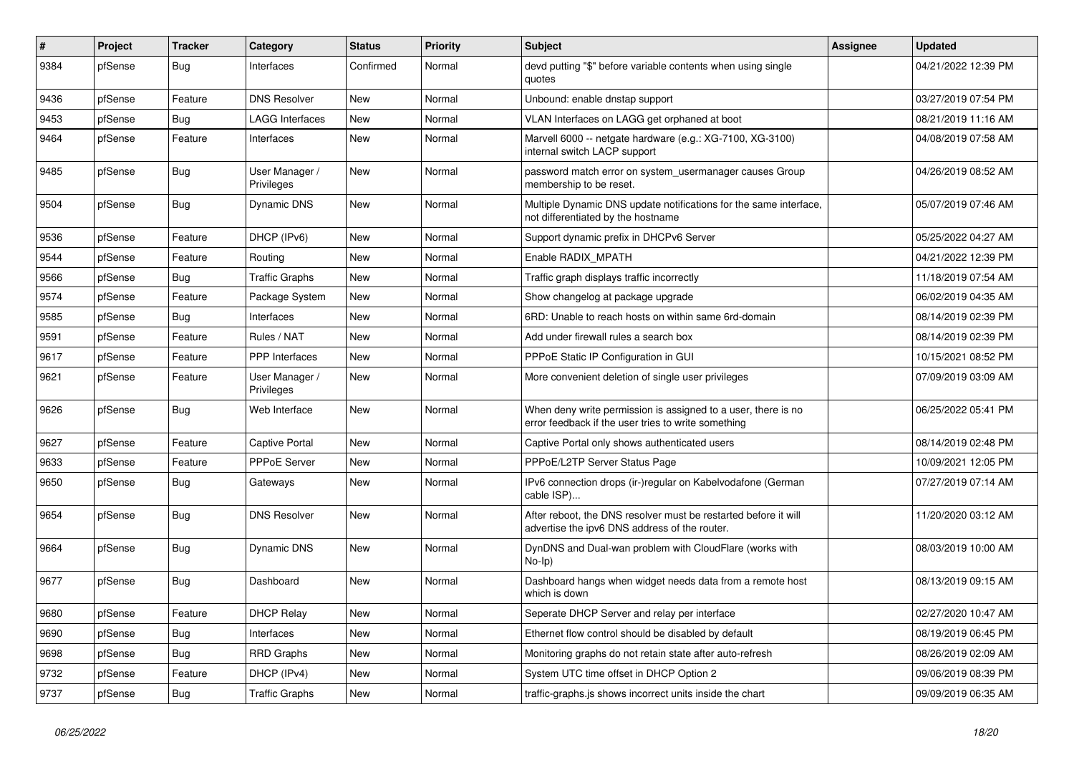| #    | Project | <b>Tracker</b> | Category                     | <b>Status</b> | <b>Priority</b> | Subject                                                                                                              | <b>Assignee</b> | <b>Updated</b>      |
|------|---------|----------------|------------------------------|---------------|-----------------|----------------------------------------------------------------------------------------------------------------------|-----------------|---------------------|
| 9384 | pfSense | <b>Bug</b>     | Interfaces                   | Confirmed     | Normal          | devd putting "\$" before variable contents when using single<br>quotes                                               |                 | 04/21/2022 12:39 PM |
| 9436 | pfSense | Feature        | <b>DNS Resolver</b>          | <b>New</b>    | Normal          | Unbound: enable dnstap support                                                                                       |                 | 03/27/2019 07:54 PM |
| 9453 | pfSense | <b>Bug</b>     | <b>LAGG Interfaces</b>       | New           | Normal          | VLAN Interfaces on LAGG get orphaned at boot                                                                         |                 | 08/21/2019 11:16 AM |
| 9464 | pfSense | Feature        | Interfaces                   | New           | Normal          | Marvell 6000 -- netgate hardware (e.g.: XG-7100, XG-3100)<br>internal switch LACP support                            |                 | 04/08/2019 07:58 AM |
| 9485 | pfSense | Bug            | User Manager /<br>Privileges | <b>New</b>    | Normal          | password match error on system usermanager causes Group<br>membership to be reset.                                   |                 | 04/26/2019 08:52 AM |
| 9504 | pfSense | <b>Bug</b>     | Dynamic DNS                  | <b>New</b>    | Normal          | Multiple Dynamic DNS update notifications for the same interface,<br>not differentiated by the hostname              |                 | 05/07/2019 07:46 AM |
| 9536 | pfSense | Feature        | DHCP (IPv6)                  | <b>New</b>    | Normal          | Support dynamic prefix in DHCPv6 Server                                                                              |                 | 05/25/2022 04:27 AM |
| 9544 | pfSense | Feature        | Routing                      | <b>New</b>    | Normal          | Enable RADIX MPATH                                                                                                   |                 | 04/21/2022 12:39 PM |
| 9566 | pfSense | <b>Bug</b>     | <b>Traffic Graphs</b>        | New           | Normal          | Traffic graph displays traffic incorrectly                                                                           |                 | 11/18/2019 07:54 AM |
| 9574 | pfSense | Feature        | Package System               | <b>New</b>    | Normal          | Show changelog at package upgrade                                                                                    |                 | 06/02/2019 04:35 AM |
| 9585 | pfSense | <b>Bug</b>     | Interfaces                   | New           | Normal          | 6RD: Unable to reach hosts on within same 6rd-domain                                                                 |                 | 08/14/2019 02:39 PM |
| 9591 | pfSense | Feature        | Rules / NAT                  | <b>New</b>    | Normal          | Add under firewall rules a search box                                                                                |                 | 08/14/2019 02:39 PM |
| 9617 | pfSense | Feature        | <b>PPP</b> Interfaces        | <b>New</b>    | Normal          | PPPoE Static IP Configuration in GUI                                                                                 |                 | 10/15/2021 08:52 PM |
| 9621 | pfSense | Feature        | User Manager /<br>Privileges | <b>New</b>    | Normal          | More convenient deletion of single user privileges                                                                   |                 | 07/09/2019 03:09 AM |
| 9626 | pfSense | Bug            | Web Interface                | New           | Normal          | When deny write permission is assigned to a user, there is no<br>error feedback if the user tries to write something |                 | 06/25/2022 05:41 PM |
| 9627 | pfSense | Feature        | Captive Portal               | New           | Normal          | Captive Portal only shows authenticated users                                                                        |                 | 08/14/2019 02:48 PM |
| 9633 | pfSense | Feature        | <b>PPPoE Server</b>          | <b>New</b>    | Normal          | PPPoE/L2TP Server Status Page                                                                                        |                 | 10/09/2021 12:05 PM |
| 9650 | pfSense | <b>Bug</b>     | Gateways                     | New           | Normal          | IPv6 connection drops (ir-)regular on Kabelvodafone (German<br>cable ISP)                                            |                 | 07/27/2019 07:14 AM |
| 9654 | pfSense | Bug            | <b>DNS Resolver</b>          | New           | Normal          | After reboot, the DNS resolver must be restarted before it will<br>advertise the ipv6 DNS address of the router.     |                 | 11/20/2020 03:12 AM |
| 9664 | pfSense | <b>Bug</b>     | Dynamic DNS                  | <b>New</b>    | Normal          | DynDNS and Dual-wan problem with CloudFlare (works with<br>$No-Ip)$                                                  |                 | 08/03/2019 10:00 AM |
| 9677 | pfSense | <b>Bug</b>     | Dashboard                    | New           | Normal          | Dashboard hangs when widget needs data from a remote host<br>which is down                                           |                 | 08/13/2019 09:15 AM |
| 9680 | pfSense | Feature        | <b>DHCP Relay</b>            | <b>New</b>    | Normal          | Seperate DHCP Server and relay per interface                                                                         |                 | 02/27/2020 10:47 AM |
| 9690 | pfSense | Bug            | Interfaces                   | <b>New</b>    | Normal          | Ethernet flow control should be disabled by default                                                                  |                 | 08/19/2019 06:45 PM |
| 9698 | pfSense | <b>Bug</b>     | <b>RRD Graphs</b>            | <b>New</b>    | Normal          | Monitoring graphs do not retain state after auto-refresh                                                             |                 | 08/26/2019 02:09 AM |
| 9732 | pfSense | Feature        | DHCP (IPv4)                  | <b>New</b>    | Normal          | System UTC time offset in DHCP Option 2                                                                              |                 | 09/06/2019 08:39 PM |
| 9737 | pfSense | <b>Bug</b>     | <b>Traffic Graphs</b>        | <b>New</b>    | Normal          | traffic-graphs is shows incorrect units inside the chart                                                             |                 | 09/09/2019 06:35 AM |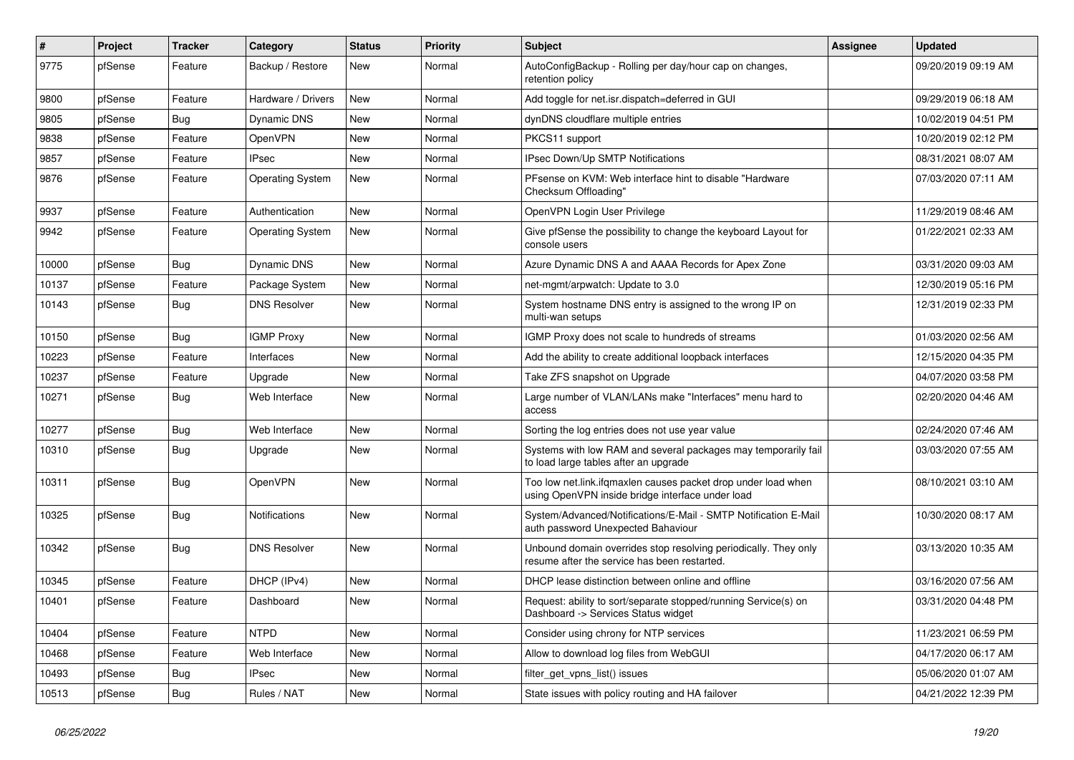| $\sharp$ | Project | <b>Tracker</b> | Category                | <b>Status</b> | Priority | Subject                                                                                                           | <b>Assignee</b> | <b>Updated</b>      |
|----------|---------|----------------|-------------------------|---------------|----------|-------------------------------------------------------------------------------------------------------------------|-----------------|---------------------|
| 9775     | pfSense | Feature        | Backup / Restore        | New           | Normal   | AutoConfigBackup - Rolling per day/hour cap on changes,<br>retention policy                                       |                 | 09/20/2019 09:19 AM |
| 9800     | pfSense | Feature        | Hardware / Drivers      | New           | Normal   | Add toggle for net.isr.dispatch=deferred in GUI                                                                   |                 | 09/29/2019 06:18 AM |
| 9805     | pfSense | Bug            | Dynamic DNS             | New           | Normal   | dynDNS cloudflare multiple entries                                                                                |                 | 10/02/2019 04:51 PM |
| 9838     | pfSense | Feature        | OpenVPN                 | New           | Normal   | PKCS11 support                                                                                                    |                 | 10/20/2019 02:12 PM |
| 9857     | pfSense | Feature        | <b>IPsec</b>            | New           | Normal   | IPsec Down/Up SMTP Notifications                                                                                  |                 | 08/31/2021 08:07 AM |
| 9876     | pfSense | Feature        | <b>Operating System</b> | New           | Normal   | PFsense on KVM: Web interface hint to disable "Hardware"<br>Checksum Offloading"                                  |                 | 07/03/2020 07:11 AM |
| 9937     | pfSense | Feature        | Authentication          | New           | Normal   | OpenVPN Login User Privilege                                                                                      |                 | 11/29/2019 08:46 AM |
| 9942     | pfSense | Feature        | <b>Operating System</b> | <b>New</b>    | Normal   | Give pfSense the possibility to change the keyboard Layout for<br>console users                                   |                 | 01/22/2021 02:33 AM |
| 10000    | pfSense | Bug            | Dynamic DNS             | <b>New</b>    | Normal   | Azure Dynamic DNS A and AAAA Records for Apex Zone                                                                |                 | 03/31/2020 09:03 AM |
| 10137    | pfSense | Feature        | Package System          | New           | Normal   | net-mgmt/arpwatch: Update to 3.0                                                                                  |                 | 12/30/2019 05:16 PM |
| 10143    | pfSense | Bug            | <b>DNS Resolver</b>     | New           | Normal   | System hostname DNS entry is assigned to the wrong IP on<br>multi-wan setups                                      |                 | 12/31/2019 02:33 PM |
| 10150    | pfSense | Bug            | <b>IGMP Proxy</b>       | New           | Normal   | IGMP Proxy does not scale to hundreds of streams                                                                  |                 | 01/03/2020 02:56 AM |
| 10223    | pfSense | Feature        | Interfaces              | New           | Normal   | Add the ability to create additional loopback interfaces                                                          |                 | 12/15/2020 04:35 PM |
| 10237    | pfSense | Feature        | Upgrade                 | New           | Normal   | Take ZFS snapshot on Upgrade                                                                                      |                 | 04/07/2020 03:58 PM |
| 10271    | pfSense | Bug            | Web Interface           | New           | Normal   | Large number of VLAN/LANs make "Interfaces" menu hard to<br>access                                                |                 | 02/20/2020 04:46 AM |
| 10277    | pfSense | Bug            | Web Interface           | New           | Normal   | Sorting the log entries does not use year value                                                                   |                 | 02/24/2020 07:46 AM |
| 10310    | pfSense | Bug            | Upgrade                 | New           | Normal   | Systems with low RAM and several packages may temporarily fail<br>to load large tables after an upgrade           |                 | 03/03/2020 07:55 AM |
| 10311    | pfSense | <b>Bug</b>     | OpenVPN                 | New           | Normal   | Too low net.link.ifqmaxlen causes packet drop under load when<br>using OpenVPN inside bridge interface under load |                 | 08/10/2021 03:10 AM |
| 10325    | pfSense | <b>Bug</b>     | Notifications           | New           | Normal   | System/Advanced/Notifications/E-Mail - SMTP Notification E-Mail<br>auth password Unexpected Bahaviour             |                 | 10/30/2020 08:17 AM |
| 10342    | pfSense | Bug            | <b>DNS Resolver</b>     | New           | Normal   | Unbound domain overrides stop resolving periodically. They only<br>resume after the service has been restarted.   |                 | 03/13/2020 10:35 AM |
| 10345    | pfSense | Feature        | DHCP (IPv4)             | New           | Normal   | DHCP lease distinction between online and offline                                                                 |                 | 03/16/2020 07:56 AM |
| 10401    | pfSense | Feature        | Dashboard               | <b>New</b>    | Normal   | Request: ability to sort/separate stopped/running Service(s) on<br>Dashboard -> Services Status widget            |                 | 03/31/2020 04:48 PM |
| 10404    | pfSense | Feature        | <b>NTPD</b>             | New           | Normal   | Consider using chrony for NTP services                                                                            |                 | 11/23/2021 06:59 PM |
| 10468    | pfSense | Feature        | Web Interface           | New           | Normal   | Allow to download log files from WebGUI                                                                           |                 | 04/17/2020 06:17 AM |
| 10493    | pfSense | <b>Bug</b>     | <b>IPsec</b>            | New           | Normal   | filter_get_vpns_list() issues                                                                                     |                 | 05/06/2020 01:07 AM |
| 10513    | pfSense | Bug            | Rules / NAT             | New           | Normal   | State issues with policy routing and HA failover                                                                  |                 | 04/21/2022 12:39 PM |